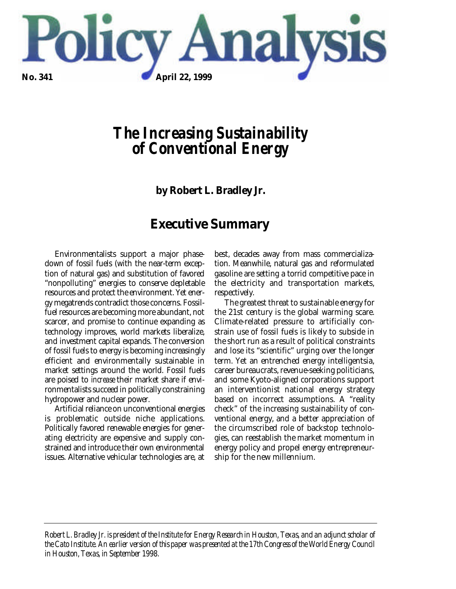

# *The Increasing Sustainability of Conventional Energy*

**by Robert L. Bradley Jr.**

# **Executive Summary**

Environmentalists support a major phasedown of fossil fuels (with the near-term exception of natural gas) and substitution of favored "nonpolluting" energies to conserve depletable resources and protect the environment. Yet energy megatrends contradict those concerns. Fossilfuel resources are becoming more abundant, not scarcer, and promise to continue expanding as technology improves, world markets liberalize, and investment capital expands. The conversion of fossil fuels to energy is becoming increasingly efficient and environmentally sustainable in market settings around the world. Fossil fuels are poised to *increase* their market share if environmentalists succeed in politically constraining hydropower and nuclear power.

Artificial reliance on unconventional energies is problematic outside niche applications. Politically favored renewable energies for generating electricity are expensive and supply constrained and introduce their own environmental issues. Alternative vehicular technologies are, at best, decades away from mass commercialization. Meanwhile, natural gas and reformulated gasoline are setting a torrid competitive pace in the electricity and transportation markets, respectively.

The greatest threat to sustainable energy for the 21st century is the global warming scare. Climate-related pressure to artificially constrain use of fossil fuels is likely to subside in the short run as a result of political constraints and lose its "scientific" urging over the longer term. Yet an entrenched energy intelligentsia, career bureaucrats, revenue-seeking politicians, and some Kyoto-aligned corporations support an interventionist national energy strategy based on incorrect assumptions. A "reality check" of the increasing sustainability of conventional energy, and a better appreciation of the circumscribed role of backstop technologies, can reestablish the market momentum in energy policy and propel energy entrepreneurship for the new millennium.

*Robert L. Bradley Jr. is president of the Institute for Energy Research in Houston, Texas, and an adjunct scholar of the Cato Institute. An earlier version of this paper was presented at the 17th Congress of the World Energy Council in Houston, Texas, in September 1998.*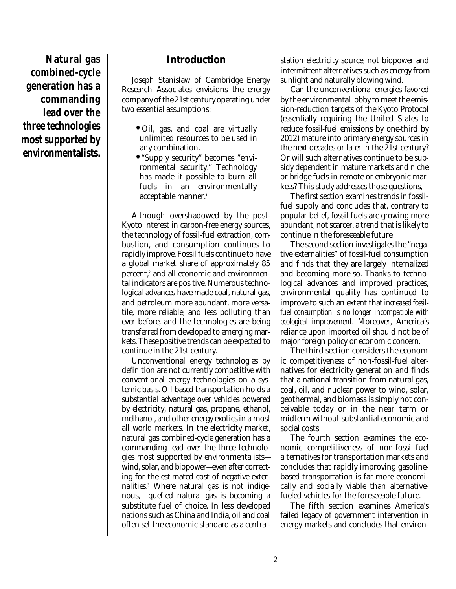**Natural gas combined-cycle generation has a commanding lead over the three technologies most supported by environmentalists.**

### **Introduction**

Joseph Stanislaw of Cambridge Energy Research Associates envisions the energy company of the 21st century operating under two essential assumptions:

- Oil, gas, and coal are virtually unlimited resources to be used in any combination.
- "Supply security" becomes "environmental security." Technology has made it possible to burn all fuels in an environmentally acceptable manner. 1

Although overshadowed by the post-Kyoto interest in carbon-free energy sources, the technology of fossil-fuel extraction, combustion, and consumption continues to rapidly improve. Fossil fuels continue to have a global market share of approximately 85 percent, 2 and all economic and environmental indicators are positive. Numerous technological advances have made coal, natural gas, and petroleum more abundant, more versatile, more reliable, and less polluting than ever before, and the technologies are being transferred from developed to emerging markets. These positive trends can be expected to continue in the 21st century.

Unconventional energy technologies by definition are not currently competitive with conventional energy technologies on a systemic basis. Oil-based transportation holds a substantial advantage over vehicles powered by electricity, natural gas, propane, ethanol, methanol, and other energy exotics in almost all world markets. In the electricity market, natural gas combined-cycle generation has a commanding lead over the three technologies most supported by environmentalists wind, solar, and biopower—even after correcting for the estimated cost of negative externalities. <sup>3</sup> Where natural gas is not indigenous, liquefied natural gas is becoming a substitute fuel of choice. In less developed nations such as China and India, oil and coal often set the economic standard as a centralstation electricity source, not biopower and intermittent alternatives such as energy from sunlight and naturally blowing wind.

Can the unconventional energies favored by the environmental lobby to meet the emission-reduction targets of the Kyoto Protocol (essentially requiring the United States to reduce fossil-fuel emissions by one-third by 2012) mature into primary energy sources in the next decades or later in the 21st century? Or will such alternatives continue to be subsidy dependent in mature markets and niche or bridge fuels in remote or embryonic markets? This study addresses those questions,

The first section examines trends in fossilfuel supply and concludes that, contrary to popular belief, fossil fuels are growing more abundant, not scarcer, a trend that is likely to continue in the foreseeable future.

The second section investigates the "negative externalities" of fossil-fuel consumption and finds that they are largely internalized and becoming more so. Thanks to technological advances and improved practices, environmental quality has continued to improve to such an extent that *increased fossilfuel consumption is no longer incompatible with ecological improvement*. Moreover, America's reliance upon imported oil should not be of major foreign policy or economic concern.

The third section considers the economic competitiveness of non-fossil-fuel alternatives for electricity generation and finds that a national transition from natural gas, coal, oil, and nuclear power to wind, solar, geothermal, and biomass is simply not conceivable today or in the near term or midterm without substantial economic and social costs.

The fourth section examines the economic competitiveness of non-fossil-fuel alternatives for transportation markets and concludes that rapidly improving gasolinebased transportation is far more economically and socially viable than alternativefueled vehicles for the foreseeable future.

The fifth section examines America's failed legacy of government intervention in energy markets and concludes that environ-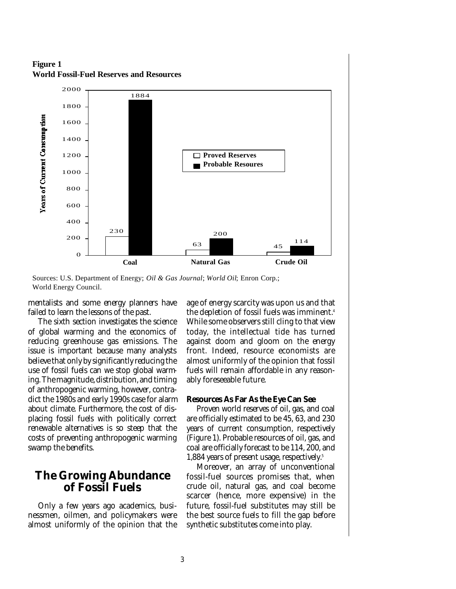**Figure 1 World Fossil-Fuel Reserves and Resources**



Sources: U.S. Department of Energy; *Oil & Gas Journal*; *World Oil*; Enron Corp.; World Energy Council.

mentalists and some energy planners have failed to learn the lessons of the past.

The sixth section investigates the science of global warming and the economics of reducing greenhouse gas emissions. The issue is important because many analysts believe that only by significantly reducing the use of fossil fuels can we stop global warming. The magnitude, distribution, and timing of anthropogenic warming, however, contradict the 1980s and early 1990s case for alarm about climate. Furthermore, the cost of displacing fossil fuels with politically correct renewable alternatives is so steep that the costs of preventing anthropogenic warming swamp the benefits.

### **The Growing Abundance of Fossil Fuels**

Only a few years ago academics, businessmen, oilmen, and policymakers were almost uniformly of the opinion that the age of energy scarcity was upon us and that the depletion of fossil fuels was imminent. 4 While some observers still cling to that view today, the intellectual tide has turned against doom and gloom on the energy front. Indeed, resource economists are almost uniformly of the opinion that fossil fuels will remain affordable in any reasonably foreseeable future.

#### **Resources As Far As the Eye Can See**

Proven world reserves of oil, gas, and coal are officially estimated to be 45, 63, and 230 years of current consumption, respectively (Figure 1). Probable resources of oil, gas, and coal are officially forecast to be 114, 200, and 1,884 years of present usage, respectively. 5

Moreover, an array of unconventional fossil-fuel sources promises that, when crude oil, natural gas, and coal become scarcer (hence, more expensive) in the future, fossil-fuel substitutes may still be the best source fuels to fill the gap before synthetic substitutes come into play.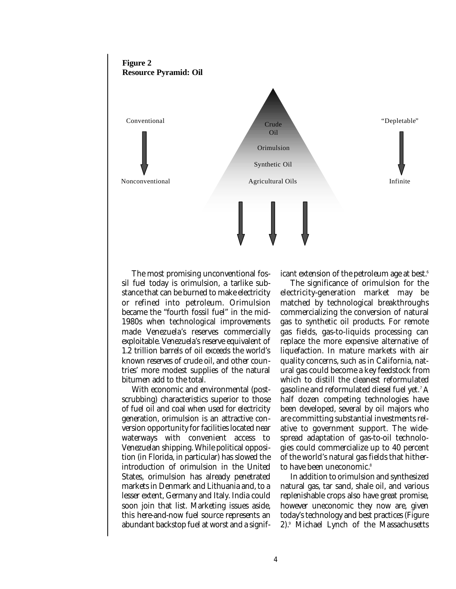

The most promising unconventional fossil fuel today is orimulsion, a tarlike substance that can be burned to make electricity or refined into petroleum. Orimulsion became the "fourth fossil fuel" in the mid-1980s when technological improvements made Venezuela's reserves commercially exploitable. Venezuela's reserve equivalent of 1.2 trillion barrels of oil exceeds the world's known reserves of crude oil, and other countries' more modest supplies of the natural bitumen add to the total.

With economic and environmental (postscrubbing) characteristics superior to those of fuel oil and coal when used for electricity generation, orimulsion is an attractive conversion opportunity for facilities located near waterways with convenient access to Venezuelan shipping. While political opposition (in Florida, in particular) has slowed the introduction of orimulsion in the United States, orimulsion has already penetrated markets in Denmark and Lithuania and, to a lesser extent, Germany and Italy. India could soon join that list. Marketing issues aside, this here-and-now fuel source represents an abundant backstop fuel at worst and a significant extension of the petroleum age at best. 6

The significance of orimulsion for the electricity-generation market may be matched by technological breakthroughs commercializing the conversion of natural gas to synthetic oil products. For remote gas fields, gas-to-liquids processing can replace the more expensive alternative of liquefaction. In mature markets with air quality concerns, such as in California, natural gas could become a key feedstock from which to distill the cleanest reformulated gasoline and reformulated diesel fuel yet. <sup>7</sup> A half dozen competing technologies have been developed, several by oil majors who are committing substantial investments relative to government support. The widespread adaptation of gas-to-oil technologies could commercialize up to 40 percent of the world's natural gas fields that hitherto have been uneconomic. 8

In addition to orimulsion and synthesized natural gas, tar sand, shale oil, and various replenishable crops also have great promise, however uneconomic they now are, given today's technology and best practices (Figure 2). <sup>9</sup> Michael Lynch of the Massachusetts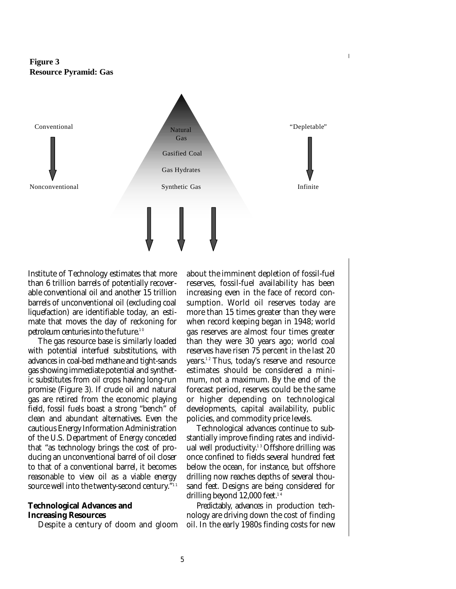



Institute of Technology estimates that more than 6 trillion barrels of potentially recoverable conventional oil and another 15 trillion barrels of unconventional oil (excluding coal liquefaction) are identifiable today, an estimate that moves the day of reckoning for petroleum centuries into the future.<sup>10</sup>

The gas resource base is similarly loaded with potential interfuel substitutions, with advances in coal-bed methane and tight-sands gas showing immediate potential and synthetic substitutes from oil crops having long-run promise (Figure 3). If crude oil and natural gas are retired from the economic playing field, fossil fuels boast a strong "bench" of clean and abundant alternatives. Even the cautious Energy Information Administration of the U.S. Department of Energy conceded that "as technology brings the cost of producing an unconventional barrel of oil closer to that of a conventional barrel, it becomes reasonable to view oil as a viable energy source well into the twenty-second century." 1 1

#### **Technological Advances and Increasing Resources**

Despite a century of doom and gloom

about the imminent depletion of fossil-fuel reserves, fossil-fuel availability has been increasing even in the face of record consumption. World oil reserves today are more than 15 times greater than they were when record keeping began in 1948; world gas reserves are almost four times greater than they were 30 years ago; world coal reserves have risen 75 percent in the last 20 years. 1 2 Thus, today's reserve and resource estimates should be considered a minimum, not a maximum. By the end of the forecast period, reserves could be the same or higher depending on technological developments, capital availability, public policies, and commodity price levels.

Technological advances continue to substantially improve finding rates and individual well productivity.<sup>13</sup> Offshore drilling was once confined to fields several hundred feet below the ocean, for instance, but offshore drilling now reaches depths of several thousand feet. Designs are being considered for drilling beyond 12,000 feet. 1 4

Predictably, advances in production technology are driving down the cost of finding oil. In the early 1980s finding costs for new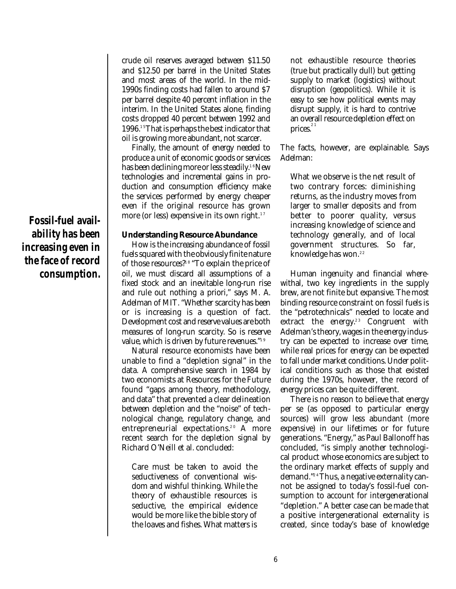**Fossil-fuel availability has been increasing even in the face of record consumption.** crude oil reserves averaged between \$11.50 and \$12.50 per barrel in the United States and most areas of the world. In the mid-1990s finding costs had fallen to around \$7 per barrel despite 40 percent inflation in the interim. In the United States alone, finding costs dropped 40 percent between 1992 and 1996. 1 5That is perhaps the best indicator that oil is growing more abundant, not scarcer.

Finally, the amount of energy needed to produce a unit of economic goods or services has been declining more or less steadily.<sup>16</sup>New technologies and incremental gains in production and consumption efficiency make the services performed by energy cheaper even if the original resource has grown more (or less) expensive in its own right. $^{\scriptscriptstyle 17}$ 

#### **Understanding Resource Abundance**

How is the increasing abundance of fossil fuels squared with the obviously finite nature of those resources?18 "To explain the price of oil, we must discard all assumptions of a fixed stock and an inevitable long-run rise and rule out nothing a priori," says M. A. Adelman of MIT. "Whether scarcity has been or is increasing is a question of fact. Development cost and reserve values are both measures of long-run scarcity. So is reserve value, which is driven by future revenues." 1 9

Natural resource economists have been unable to find a "depletion signal" in the data. A comprehensive search in 1984 by two economists at Resources for the Future found "gaps among theory, methodology, and data" that prevented a clear delineation between depletion and the "noise" of technological change, regulatory change, and entrepreneurial expectations. 2 0 A more recent search for the depletion signal by Richard O'Neill et al. concluded:

Care must be taken to avoid the seductiveness of conventional wisdom and wishful thinking. While the theory of exhaustible resources is seductive, the empirical evidence would be more like the bible story of the loaves and fishes. What matters is

not exhaustible resource theories (true but practically dull) but getting supply to market (logistics) without disruption (geopolitics). While it is easy to see how political events may disrupt supply, it is hard to contrive an overall resource depletion effect on prices. $^{^{21}}$ 

The facts, however, are explainable. Says Adelman:

What we observe is the net result of two contrary forces: diminishing returns, as the industry moves from larger to smaller deposits and from better to poorer quality, versus increasing knowledge of science and technology generally, and of local government structures. So far, knowledge has won. 2 2

Human ingenuity and financial wherewithal, two key ingredients in the supply brew, are not finite but expansive. The most binding resource constraint on fossil fuels is the "petrotechnicals" needed to locate and extract the energy.<sup>23</sup> Congruent with Adelman's theory, wages in the energy industry can be expected to increase over time, while real prices for energy can be expected to fall under market conditions. Under political conditions such as those that existed during the 1970s, however, the record of energy prices can be quite different.

There is no reason to believe that energy per se (as opposed to particular energy sources) will grow less abundant (more expensive) in our lifetimes or for future generations. "Energy," as Paul Ballonoff has concluded, "is simply another technological product whose economics are subject to the ordinary market effects of supply and demand." 2 4Thus, a negative externality cannot be assigned to today's fossil-fuel consumption to account for intergenerational "depletion." A better case can be made that a positive intergenerational externality is created, since today's base of knowledge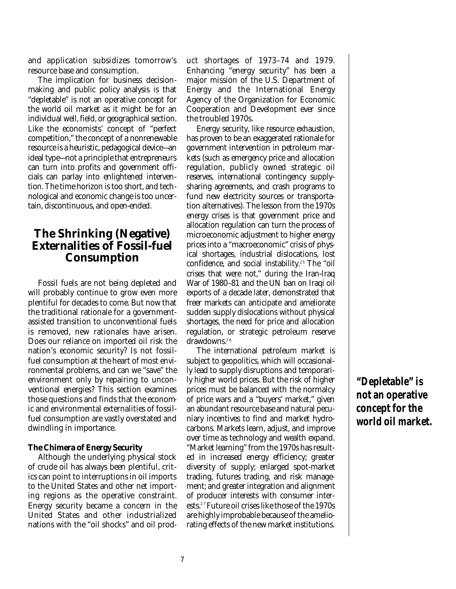and application subsidizes tomorrow's resource base and consumption.

The implication for business decisionmaking and public policy analysis is that "depletable" is not an operative concept for the world oil market as it might be for an individual well, field, or geographical section. Like the economists' concept of "perfect competition," the concept of a nonrenewable resource is a heuristic, pedagogical device—an ideal type—not a principle that entrepreneurs can turn into profits and government officials can parlay into enlightened intervention. The time horizon is too short, and technological and economic change is too uncertain, discontinuous, and open-ended.

# **The Shrinking (Negative) Externalities of Fossil-fuel Consumption**

Fossil fuels are not being depleted and will probably continue to grow even more plentiful for decades to come. But now that the traditional rationale for a governmentassisted transition to unconventional fuels is removed, new rationales have arisen. Does our reliance on imported oil risk the nation's economic security? Is not fossilfuel consumption at the heart of most environmental problems, and can we "save" the environment only by repairing to unconventional energies? This section examines those questions and finds that the economic and environmental externalities of fossilfuel consumption are vastly overstated and dwindling in importance.

#### **The Chimera of Energy Security**

Although the underlying physical stock of crude oil has always been plentiful, critics can point to interruptions in oil imports to the United States and other net importing regions as the operative constraint. Energy security became a concern in the United States and other industrialized nations with the "oil shocks" and oil product shortages of 1973–74 and 1979. Enhancing "energy security" has been a major mission of the U.S. Department of Energy and the International Energy Agency of the Organization for Economic Cooperation and Development ever since the troubled 1970s.

Energy security, like resource exhaustion, has proven to be an exaggerated rationale for government intervention in petroleum markets (such as emergency price and allocation regulation, publicly owned strategic oil reserves, international contingency supplysharing agreements, and crash programs to fund new electricity sources or transportation alternatives). The lesson from the 1970s energy crises is that government price and allocation regulation can turn the process of microeconomic adjustment to higher energy prices into a "macroeconomic" crisis of physical shortages, industrial dislocations, lost confidence, and social instability.<sup>25</sup> The "oil crises that were not," during the Iran-Iraq War of 1980–81 and the UN ban on Iraqi oil exports of a decade later, demonstrated that freer markets can anticipate and ameliorate sudden supply dislocations without physical shortages, the need for price and allocation regulation, or strategic petroleum reserve drawdowns. 2 6

The international petroleum market is subject to geopolitics, which will occasionally lead to supply disruptions and temporarily higher world prices. But the risk of higher prices must be balanced with the normalcy of price wars and a "buyers' market," given an abundant resource base and natural pecuniary incentives to find and market hydrocarbons. Markets learn, adjust, and improve over time as technology and wealth expand. "Market learning" from the 1970s has resulted in increased energy efficiency; greater diversity of supply; enlarged spot-market trading, futures trading, and risk management; and greater integration and alignment of producer interests with consumer interests. 2 7Future oil crises like those of the 1970s are highly improbable because of the ameliorating effects of the new market institutions.

# **"Depletable" is not an operative concept for the world oil market.**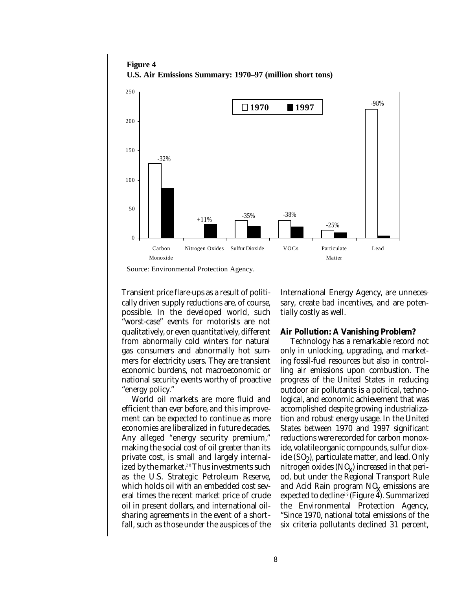**Figure 4 U.S. Air Emissions Summary: 1970–97 (million short tons)**



Source: Environmental Protection Agency.

Transient price flare-ups as a result of politically driven supply reductions are, of course, possible. In the developed world, such "worst-case" events for motorists are not qualitatively, or even quantitatively, different from abnormally cold winters for natural gas consumers and abnormally hot summers for electricity users. They are transient economic burdens, not macroeconomic or national security events worthy of proactive "energy policy."

World oil markets are more fluid and efficient than ever before, and this improvement can be expected to continue as more economies are liberalized in future decades. Any alleged "energy security premium," making the social cost of oil greater than its private cost, is small and largely internalized by the market.<sup>28</sup> Thus investments such as the U.S. Strategic Petroleum Reserve, which holds oil with an embedded cost several times the recent market price of crude oil in present dollars, and international oilsharing agreements in the event of a shortfall, such as those under the auspices of the

International Energy Agency, are unnecessary, create bad incentives, and are potentially costly as well.

#### **Air Pollution: A Vanishing Problem?**

Technology has a remarkable record not only in unlocking, upgrading, and marketing fossil-fuel resources but also in controlling air emissions upon combustion. The progress of the United States in reducing outdoor air pollutants is a political, technological, and economic achievement that was accomplished despite growing industrialization and robust energy usage. In the United States between 1970 and 1997 significant reductions were recorded for carbon monoxide, volatile organic compounds, sulfur dioxide (SO2 ), particulate matter, and lead. Only nitrogen oxides  $(NQ)$  increased in that period, but under the Regional Transport Rule and Acid Rain program  $NQ$  emissions are expected to decline 2 9 (Figure 4). Summarized the Environmental Protection Agency, "Since 1970, national total emissions of the six criteria pollutants declined 31 percent,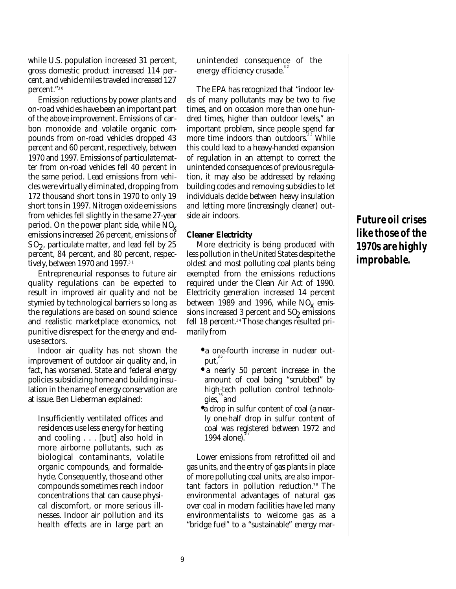while U.S. population increased 31 percent, gross domestic product increased 114 percent, and vehicle miles traveled increased 127 percent." 3 0

Emission reductions by power plants and on-road vehicles have been an important part of the above improvement. Emissions of carbon monoxide and volatile organic compounds from on-road vehicles dropped 43 percent and 60 percent, respectively, between 1970 and 1997. Emissions of particulate matter from on-road vehicles fell 40 percent in the same period. Lead emissions from vehicles were virtually eliminated, dropping from 172 thousand short tons in 1970 to only 19 short tons in 1997. Nitrogen oxide emissions from vehicles fell slightly in the same 27-year period. On the power plant side, while NQ. emissions increased 26 percent, emissions of SO2 , particulate matter, and lead fell by 25 percent, 84 percent, and 80 percent, respectively, between 1970 and 1997. 3 1

Entrepreneurial responses to future air quality regulations can be expected to result in improved air quality and not be stymied by technological barriers so long as the regulations are based on sound science and realistic marketplace economics, not punitive disrespect for the energy and enduse sectors.

Indoor air quality has not shown the improvement of outdoor air quality and, in fact, has worsened. State and federal energy policies subsidizing home and building insulation in the name of energy conservation are at issue. Ben Lieberman explained:

Insufficiently ventilated offices and residences use less energy for heating and cooling . . . [but] also hold in more airborne pollutants, such as biological contaminants, volatile organic compounds, and formaldehyde. Consequently, those and other compounds sometimes reach indoor concentrations that can cause physical discomfort, or more serious illnesses. Indoor air pollution and its health effects are in large part an unintended consequence of the energy efficiency crusade.<sup>32</sup>

The EPA has recognized that "indoor levels of many pollutants may be two to five times, and on occasion more than one hundred times, higher than outdoor levels," an important problem, since people spend far more time indoors than outdoors.<sup>33</sup> While this could lead to a heavy-handed expansion of regulation in an attempt to correct the unintended consequences of previous regulation, it may also be addressed by relaxing building codes and removing subsidies to let individuals decide between heavy insulation and letting more (increasingly cleaner) outside air indoors.

#### **Cleaner Electricity**

More electricity is being produced with less pollution in the United States despite the oldest and most polluting coal plants being exempted from the emissions reductions required under the Clean Air Act of 1990. Electricity generation increased 14 percent between 1989 and 1996, while  $NQ$ <sub>x</sub> emissions increased 3 percent and SO<sub>2</sub> emissions fell 18 percent. 3 4 Those changes resulted primarily from

- **•** a one-fourth increase in nuclear output, $^{\scriptscriptstyle 35}$
- **•** a nearly 50 percent increase in the amount of coal being "scrubbed" by high-tech pollution control technologies, 36 and
- **•** a drop in sulfur content of coal (a nearly one-half drop in sulfur content of coal was registered between 1972 and 3 7 1994 alone).

Lower emissions from retrofitted oil and gas units, and the entry of gas plants in place of more polluting coal units, are also important factors in pollution reduction. 3 8 The environmental advantages of natural gas over coal in modern facilities have led many environmentalists to welcome gas as a "bridge fuel" to a "sustainable" energy mar-

# **Future oil crises like those of the 1970s are highly improbable.**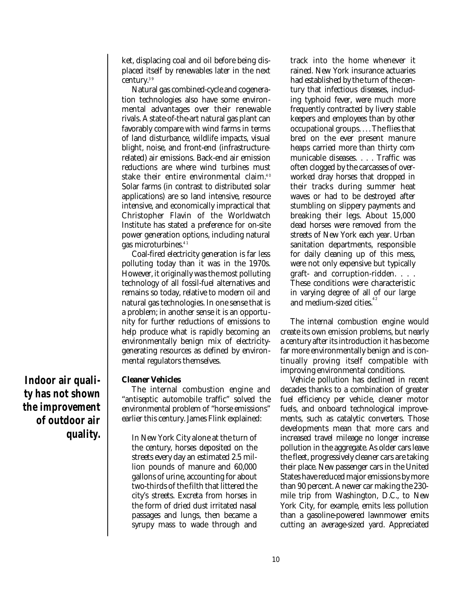ket, displacing coal and oil before being displaced itself by renewables later in the next century. 3 9

Natural gas combined-cycle and cogeneration technologies also have some environmental advantages over their renewable rivals. A state-of-the-art natural gas plant can favorably compare with wind farms in terms of land disturbance, wildlife impacts, visual blight, noise, and front-end (infrastructurerelated) air emissions. Back-end air emission reductions are where wind turbines must stake their entire environmental claim. $^{\rm 40}$ Solar farms (in contrast to distributed solar applications) are so land intensive, resource intensive, and economically impractical that Christopher Flavin of the Worldwatch Institute has stated a preference for on-site power generation options, including natural gas microturbines. 4 1

Coal-fired electricity generation is far less polluting today than it was in the 1970s. However, it originally was the most polluting technology of all fossil-fuel alternatives and remains so today, relative to modern oil and natural gas technologies. In one sense that is a problem; in another sense it is an opportunity for further reductions of emissions to help produce what is rapidly becoming an environmentally benign mix of electricitygenerating resources as defined by environmental regulators themselves.

#### **Cleaner Vehicles**

The internal combustion engine and "antiseptic automobile traffic" solved the environmental problem of "horse emissions" earlier this century. James Flink explained:

In New York City alone at the turn of the century, horses deposited on the streets every day an estimated 2.5 million pounds of manure and 60,000 gallons of urine, accounting for about two-thirds of the filth that littered the city's streets. Excreta from horses in the form of dried dust irritated nasal passages and lungs, then became a syrupy mass to wade through and track into the home whenever it rained. New York insurance actuaries had established by the turn of the century that infectious diseases, including typhoid fever, were much more frequently contracted by livery stable keepers and employees than by other occupational groups. . . . The flies that bred on the ever present manure heaps carried more than thirty communicable diseases. . . . Traffic was often clogged by the carcasses of overworked dray horses that dropped in their tracks during summer heat waves or had to be destroyed after stumbling on slippery payments and breaking their legs. About 15,000 dead horses were removed from the streets of New York each year. Urban sanitation departments, responsible for daily cleaning up of this mess, were not only expensive but typically graft- and corruption-ridden. . . . These conditions were characteristic in varying degree of all of our large and medium-sized cities.<sup>42</sup>

The internal combustion engine would create its own emission problems, but nearly a century after its introduction it has become far more environmentally benign and is continually proving itself compatible with improving environmental conditions.

Vehicle pollution has declined in recent decades thanks to a combination of greater fuel efficiency per vehicle, cleaner motor fuels, and onboard technological improvements, such as catalytic converters. Those developments mean that more cars and increased travel mileage no longer increase pollution in the aggregate. As older cars leave the fleet, progressively cleaner cars are taking their place. New passenger cars in the United States have reduced major emissions by more than 90 percent. A newer car making the 230 mile trip from Washington, D.C., to New York City, for example, emits less pollution than a gasoline-powered lawnmower emits cutting an average-sized yard. Appreciated

**Indoor air quality has not shown the improvement of outdoor air quality.**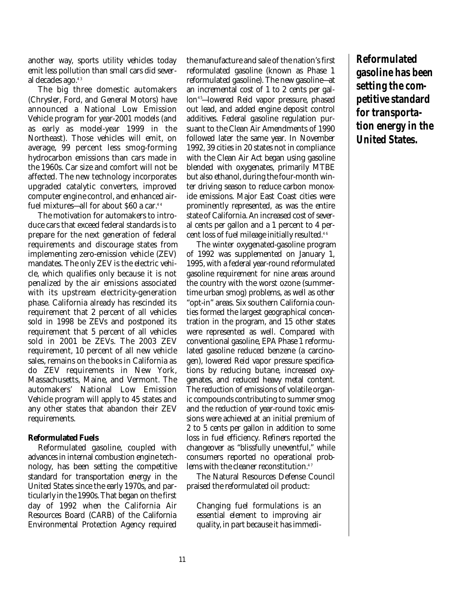another way, sports utility vehicles today emit less pollution than small cars did several decades ago. 4 3

The big three domestic automakers (Chrysler, Ford, and General Motors) have announced a National Low Emission Vehicle program for year-2001 models (and as early as model-year 1999 in the Northeast). Those vehicles will emit, on average, 99 percent less smog-forming hydrocarbon emissions than cars made in the 1960s. Car size and comfort will not be affected. The new technology incorporates upgraded catalytic converters, improved computer engine control, and enhanced airfuel mixtures—all for about \$60 a car. 4 4

The motivation for automakers to introduce cars that exceed federal standards is to prepare for the next generation of federal requirements and discourage states from implementing zero-emission vehicle (ZEV) mandates. The only ZEV is the electric vehicle, which qualifies only because it is not penalized by the air emissions associated with its upstream electricity-generation phase. California already has rescinded its requirement that 2 percent of all vehicles sold in 1998 be ZEVs and postponed its requirement that 5 percent of all vehicles sold in 2001 be ZEVs. The 2003 ZEV requirement, 10 percent of all new vehicle sales, remains on the books in California as do ZEV requirements in New York, Massachusetts, Maine, and Vermont. The automakers' National Low Emission Vehicle program will apply to 45 states and any other states that abandon their ZEV requirements.

#### **Reformulated Fuels**

Reformulated gasoline, coupled with advances in internal combustion engine technology, has been setting the competitive standard for transportation energy in the United States since the early 1970s, and particularly in the 1990s. That began on the first day of 1992 when the California Air Resources Board (CARB) of the California Environmental Protection Agency required

the manufacture and sale of the nation's first reformulated gasoline (known as Phase 1 reformulated gasoline). The new gasoline—at an incremental cost of 1 to 2 cents per gallon 4 5—lowered Reid vapor pressure, phased out lead, and added engine deposit control additives. Federal gasoline regulation pursuant to the Clean Air Amendments of 1990 followed later the same year. In November 1992, 39 cities in 20 states not in compliance with the Clean Air Act began using gasoline blended with oxygenates, primarily MTBE but also ethanol, during the four-month winter driving season to reduce carbon monoxide emissions. Major East Coast cities were prominently represented, as was the entire state of California. An increased cost of several cents per gallon and a 1 percent to 4 percent loss of fuel mileage initially resulted. 4 6

The winter oxygenated-gasoline program of 1992 was supplemented on January 1, 1995, with a federal year-round reformulated gasoline requirement for nine areas around the country with the worst ozone (summertime urban smog) problems, as well as other "opt-in" areas. Six southern California counties formed the largest geographical concentration in the program, and 15 other states were represented as well. Compared with conventional gasoline, EPA Phase 1 reformulated gasoline reduced benzene (a carcinogen), lowered Reid vapor pressure specifications by reducing butane, increased oxygenates, and reduced heavy metal content. The reduction of emissions of volatile organic compounds contributing to summer smog and the reduction of year-round toxic emissions were achieved at an initial premium of 2 to 5 cents per gallon in addition to some loss in fuel efficiency. Refiners reported the changeover as "blissfully uneventful," while consumers reported no operational problems with the cleaner reconstitution. 4 7

The Natural Resources Defense Council praised the reformulated oil product:

Changing fuel formulations is an essential element to improving air quality, in part because it has immedi**Reformulated gasoline has been setting the competitive standard for transportation energy in the United States.**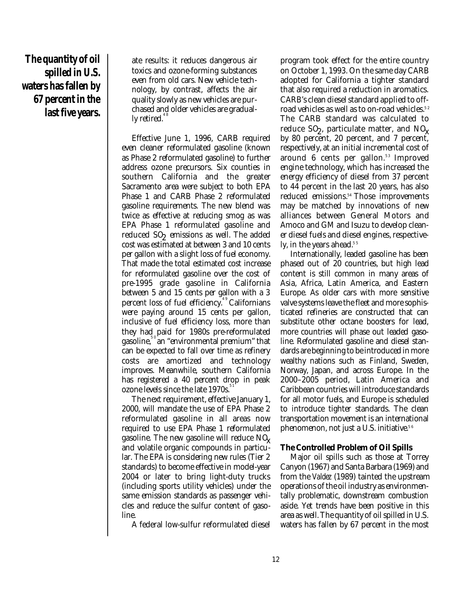**The quantity of oil spilled in U.S. waters has fallen by 67 percent in the last five years.**

ate results: it reduces dangerous air toxics and ozone-forming substances even from old cars. New vehicle technology, by contrast, affects the air quality slowly as new vehicles are purchased and older vehicles are gradually retired. $^{^{4\,8}}$ 

Effective June 1, 1996, CARB required even cleaner reformulated gasoline (known as Phase 2 reformulated gasoline) to further address ozone precursors. Six counties in southern California and the greater Sacramento area were subject to both EPA Phase 1 and CARB Phase 2 reformulated gasoline requirements. The new blend was twice as effective at reducing smog as was EPA Phase 1 reformulated gasoline and reduced SO<sub>2</sub> emissions as well. The added cost was estimated at between 3 and 10 cents per gallon with a slight loss of fuel economy. That made the total estimated cost increase for reformulated gasoline over the cost of pre-1995 grade gasoline in California between 5 and 15 cents per gallon with a 3 percent loss of fuel efficiency.<sup>49</sup> Californians were paying around 15 cents per gallon, inclusive of fuel efficiency loss, more than they had paid for 1980s pre-reformulated gasoline, <sup>50</sup>an "environmental premium" that can be expected to fall over time as refinery costs are amortized and technology improves. Meanwhile, southern California has registered a 40 percent drop in peak ozone levels since the late 1970s.<sup>51</sup>

The next requirement, effective January 1, 2000, will mandate the use of EPA Phase 2 reformulated gasoline in all areas now required to use EPA Phase 1 reformulated gasoline. The new gasoline will reduce  $NQ$ and volatile organic compounds in particular. The EPA is considering new rules (Tier 2 standards) to become effective in model-year 2004 or later to bring light-duty trucks (including sports utility vehicles) under the same emission standards as passenger vehicles and reduce the sulfur content of gasoline.

A federal low-sulfur reformulated diesel

program took effect for the entire country on October 1, 1993. On the same day CARB adopted for California a tighter standard that also required a reduction in aromatics. CARB's clean diesel standard applied to offroad vehicles as well as to on-road vehicles. 5 2 The CARB standard was calculated to reduce SO<sub>2</sub>, particulate matter, and NO<sub>X</sub> by 80 percent, 20 percent, and 7 percent, respectively, at an initial incremental cost of around 6 cents per gallon.<sup>53</sup> Improved engine technology, which has increased the energy efficiency of diesel from 37 percent to 44 percent in the last 20 years, has also reduced emissions. <sup>54</sup>Those improvements may be matched by innovations of new alliances between General Motors and Amoco and GM and Isuzu to develop cleaner diesel fuels and diesel engines, respectively, in the years ahead.<sup>55</sup>

Internationally, leaded gasoline has been phased out of 20 countries, but high lead content is still common in many areas of Asia, Africa, Latin America, and Eastern Europe. As older cars with more sensitive valve systems leave the fleet and more sophisticated refineries are constructed that can substitute other octane boosters for lead, more countries will phase out leaded gasoline. Reformulated gasoline and diesel standards are beginning to be introduced in more wealthy nations such as Finland, Sweden, Norway, Japan, and across Europe. In the 2000–2005 period, Latin America and Caribbean countries will introduce standards for all motor fuels, and Europe is scheduled to introduce tighter standards. The clean transportation movement is an international phenomenon, not just a U.S. initiative. 5 6

#### **The Controlled Problem of Oil Spills**

Major oil spills such as those at Torrey Canyon (1967) and Santa Barbara (1969) and from the *Valdez* (1989) tainted the upstream operations of the oil industry as environmentally problematic, downstream combustion aside. Yet trends have been positive in this area as well. The quantity of oil spilled in U.S. waters has fallen by 67 percent in the most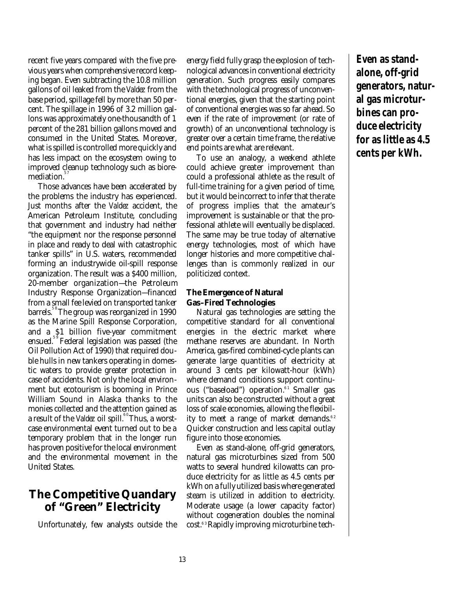recent five years compared with the five previous years when comprehensive record keeping began. Even subtracting the 10.8 million gallons of oil leaked from the *Valdez* from the base period, spillage fell by more than 50 percent. The spillage in 1996 of 3.2 million gallons was approximately one-thousandth of 1 percent of the 281 billion gallons moved and consumed in the United States. Moreover, what is spilled is controlled more quickly and has less impact on the ecosystem owing to improved cleanup technology such as bioremediation. 5 7

Those advances have been accelerated by the problems the industry has experienced. Just months after the *Valdez* accident, the American Petroleum Institute, concluding that government and industry had neither "the equipment nor the response personnel in place and ready to deal with catastrophic tanker spills" in U.S. waters, recommended forming an industrywide oil-spill response organization. The result was a \$400 million, 20-member organization—the Petroleum Industry Response Organization—financed from a small fee levied on transported tanker barrels. 5 8The group was reorganized in 1990 as the Marine Spill Response Corporation, and a \$1 billion five-year commitment ensued. 5 9 Federal legislation was passed (the Oil Pollution Act of 1990) that required double hulls in new tankers operating in domestic waters to provide greater protection in case of accidents. Not only the local environment but ecotourism is booming in Prince William Sound in Alaska thanks to the monies collected and the attention gained as a result of the *Valdez* oil spill.<sup>60</sup>Thus, a worstcase environmental event turned out to be a temporary problem that in the longer run has proven positive for the local environment and the environmental movement in the United States.

### **The Competitive Quandary of "Green" Electricity**

Unfortunately, few analysts outside the

energy field fully grasp the explosion of technological advances in conventional electricity generation. Such progress easily compares with the technological progress of unconventional energies, given that the starting point of conventional energies was so far ahead. So even if the rate of improvement (or rate of growth) of an unconventional technology is greater over a certain time frame, the relative end points are what are relevant.

To use an analogy, a weekend athlete could achieve greater improvement than could a professional athlete as the result of full-time training for a given period of time, but it would be incorrect to infer that the rate of progress implies that the amateur's improvement is sustainable or that the professional athlete will eventually be displaced. The same may be true today of alternative energy technologies, most of which have longer histories and more competitive challenges than is commonly realized in our politicized context.

#### **The Emergence of Natural Gas–Fired Technologies**

Natural gas technologies are setting the competitive standard for all conventional energies in the electric market where methane reserves are abundant. In North America, gas-fired combined-cycle plants can generate large quantities of electricity at around 3 cents per kilowatt-hour (kWh) where demand conditions support continuous ("baseload") operation.<sup>61</sup> Smaller gas units can also be constructed without a great loss of scale economies, allowing the flexibility to meet a range of market demands.<sup>62</sup> Quicker construction and less capital outlay figure into those economies.

Even as stand-alone, off-grid generators, natural gas microturbines sized from 500 watts to several hundred kilowatts can produce electricity for as little as 4.5 cents per kWh on a fully utilized basis where generated steam is utilized in addition to electricity. Moderate usage (a lower capacity factor) without cogeneration doubles the nominal cost. 6 3Rapidly improving microturbine tech**Even as standalone, off-grid generators, natural gas microturbines can produce electricity for as little as 4.5 cents per kWh.**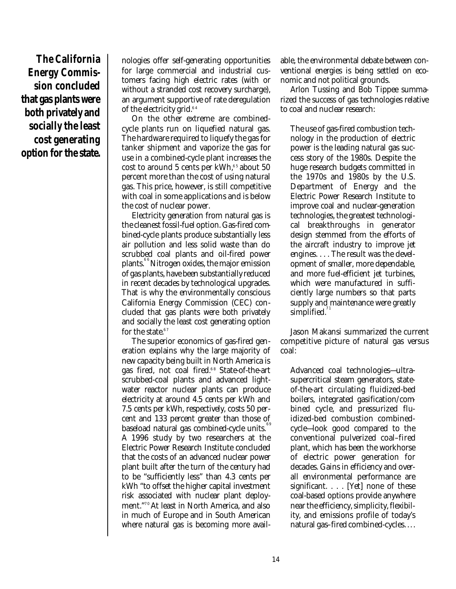**The California Energy Commission concluded that gas plants were both privately and socially the least cost generating option for the state.**

nologies offer self-generating opportunities for large commercial and industrial customers facing high electric rates (with or without a stranded cost recovery surcharge), an argument supportive of rate deregulation of the electricity grid. 6 4

On the other extreme are combinedcycle plants run on liquefied natural gas. The hardware required to liquefy the gas for tanker shipment and vaporize the gas for use in a combined-cycle plant increases the cost to around 5 cents per kWh, 6 5 about 50 percent more than the cost of using natural gas. This price, however, is still competitive with coal in some applications and is below the cost of nuclear power.

Electricity generation from natural gas is the cleanest fossil-fuel option. Gas-fired combined-cycle plants produce substantially less air pollution and less solid waste than do scrubbed coal plants and oil-fired power plants. 6 6Nitrogen oxides, the major emission of gas plants, have been substantially reduced in recent decades by technological upgrades. That is why the environmentally conscious California Energy Commission (CEC) concluded that gas plants were both privately and socially the least cost generating option for the state. $67$ 

The superior economics of gas-fired generation explains why the large majority of new capacity being built in North America is gas fired, not coal fired. 6 8 State-of-the-art scrubbed-coal plants and advanced lightwater reactor nuclear plants can produce electricity at around 4.5 cents per kWh and 7.5 cents per kWh, respectively, costs 50 percent and 133 percent greater than those of baseload natural gas combined-cycle units.<sup>69</sup> A 1996 study by two researchers at the Electric Power Research Institute concluded that the costs of an advanced nuclear power plant built after the turn of the century had to be "sufficiently less" than 4.3 cents per kWh "to offset the higher capital investment risk associated with nuclear plant deployment." 7 0 At least in North America, and also in much of Europe and in South American where natural gas is becoming more available, the environmental debate between conventional energies is being settled on economic and not political grounds.

Arlon Tussing and Bob Tippee summarized the success of gas technologies relative to coal and nuclear research:

The use of gas-fired combustion technology in the production of electric power is the leading natural gas success story of the 1980s. Despite the huge research budgets committed in the 1970s and 1980s by the U.S. Department of Energy and the Electric Power Research Institute to improve coal and nuclear-generation technologies, the greatest technological breakthroughs in generator design stemmed from the efforts of the aircraft industry to improve jet engines. . . . The result was the development of smaller, more dependable, and more fuel-efficient jet turbines, which were manufactured in sufficiently large numbers so that parts supply and maintenance were greatly  $s$ implified. $11$ 

Jason Makansi summarized the current competitive picture of natural gas versus coal:

Advanced coal technologies—ultrasupercritical steam generators, stateof-the-art circulating fluidized-bed boilers, integrated gasification/combined cycle, and pressurized fluidized-bed combustion combinedcycle—look good compared to the conventional pulverized coal–fired plant, which has been the workhorse of electric power generation for decades. Gains in efficiency and overall environmental performance are significant. . . . [Yet] none of these coal-based options provide anywhere near the efficiency, simplicity, flexibility, and emissions profile of today's natural gas–fired combined-cycles. . . .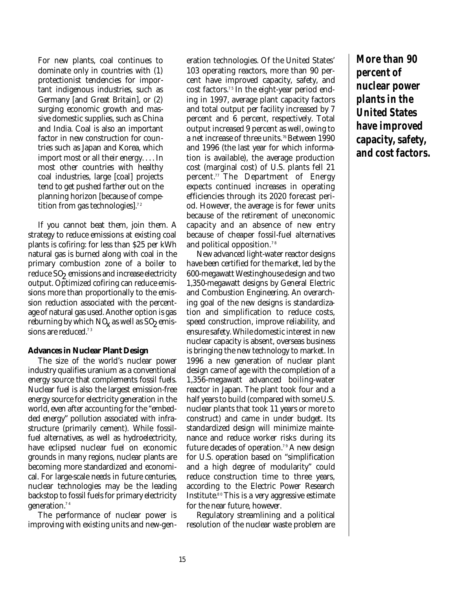For new plants, coal continues to dominate only in countries with (1) protectionist tendencies for important indigenous industries, such as Germany [and Great Britain], or (2) surging economic growth and massive domestic supplies, such as China and India. Coal is also an important factor in new construction for countries such as Japan and Korea, which import most or all their energy. . . . In most other countries with healthy coal industries, large [coal] projects tend to get pushed farther out on the planning horizon [because of competition from gas technologies]. 7 2

If you cannot beat them, join them. A strategy to reduce emissions at existing coal plants is cofiring: for less than \$25 per kWh natural gas is burned along with coal in the primary combustion zone of a boiler to reduce  $\mathrm{SO}_2$  emissions and increase electricity output. Optimized cofiring can reduce emissions more than proportionally to the emission reduction associated with the percentage of natural gas used. Another option is gas reburning by which NQ, as well as SO, emissions are reduced.<sup>73</sup>

#### **Advances in Nuclear Plant Design**

The size of the world's nuclear power industry qualifies uranium as a conventional energy source that complements fossil fuels. Nuclear fuel is also the largest emission-free energy source for electricity generation in the world, even after accounting for the "embedded energy" pollution associated with infrastructure (primarily cement). While fossilfuel alternatives, as well as hydroelectricity, have eclipsed nuclear fuel on economic grounds in many regions, nuclear plants are becoming more standardized and economical. For large-scale needs in future centuries, nuclear technologies may be the leading backstop to fossil fuels for primary electricity generation. 7 4

The performance of nuclear power is improving with existing units and new-generation technologies. Of the United States' 103 operating reactors, more than 90 percent have improved capacity, safety, and cost factors. 7 5 In the eight-year period ending in 1997, average plant capacity factors and total output per facility increased by 7 percent and 6 percent, respectively. Total output increased 9 percent as well, owing to a net increase of three units. <sup>76</sup>Between 1990 and 1996 (the last year for which information is available), the average production cost (marginal cost) of U.S. plants fell 21 percent. <sup>77</sup>The Department of Energy expects continued increases in operating efficiencies through its 2020 forecast period. However, the average is for fewer units because of the retirement of uneconomic capacity and an absence of new entry because of cheaper fossil-fuel alternatives and political opposition. $^\mathrm{78}$ 

New advanced light-water reactor designs have been certified for the market, led by the 600-megawatt Westinghouse design and two 1,350-megawatt designs by General Electric and Combustion Engineering. An overarching goal of the new designs is standardization and simplification to reduce costs, speed construction, improve reliability, and ensure safety. While domestic interest in new nuclear capacity is absent, overseas business is bringing the new technology to market. In 1996 a new generation of nuclear plant design came of age with the completion of a 1,356-megawatt advanced boiling-water reactor in Japan. The plant took four and a half years to build (compared with some U.S. nuclear plants that took 11 years or more to construct) and came in under budget. Its standardized design will minimize maintenance and reduce worker risks during its future decades of operation.<sup>79</sup> A new design for U.S. operation based on "simplification and a high degree of modularity" could reduce construction time to three years, according to the Electric Power Research Institute. 8 0 This is a very aggressive estimate for the near future, however.

Regulatory streamlining and a political resolution of the nuclear waste problem are

**More than 90 percent of nuclear power plants in the United States have improved capacity, safety, and cost factors.**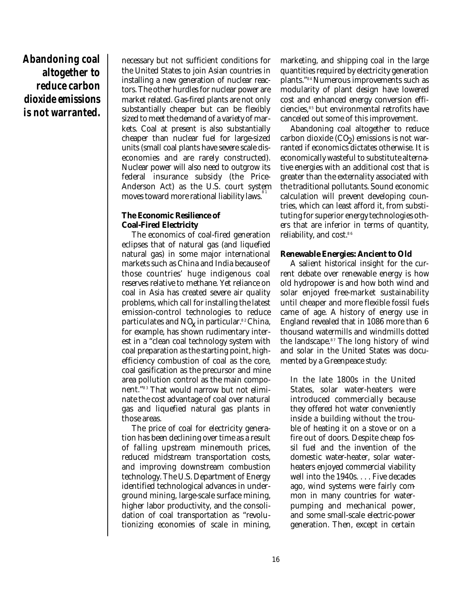# **Abandoning coal altogether to reduce carbon dioxide emissions is not warranted.**

necessary but not sufficient conditions for the United States to join Asian countries in installing a new generation of nuclear reactors. The other hurdles for nuclear power are market related. Gas-fired plants are not only substantially cheaper but can be flexibly sized to meet the demand of a variety of markets. Coal at present is also substantially cheaper than nuclear fuel for large-sized units (small coal plants have severe scale diseconomies and are rarely constructed). Nuclear power will also need to outgrow its federal insurance subsidy (the Price-Anderson Act) as the U.S. court system moves toward more rational liability laws. $^{\mathrm{s}}{}^{\mathrm{s}}$ 

#### **The Economic Resilience of Coal-Fired Electricity**

The economics of coal-fired generation eclipses that of natural gas (and liquefied natural gas) in some major international markets such as China and India because of those countries' huge indigenous coal reserves relative to methane. Yet reliance on coal in Asia has created severe air quality problems, which call for installing the latest emission-control technologies to reduce particulates and  $NQ$  in particular. $^{\ast\,2}$ China, for example, has shown rudimentary interest in a "clean coal technology system with coal preparation as the starting point, highefficiency combustion of coal as the core, coal gasification as the precursor and mine area pollution control as the main component." 8 3 That would narrow but not eliminate the cost advantage of coal over natural gas and liquefied natural gas plants in those areas.

The price of coal for electricity generation has been declining over time as a result of falling upstream minemouth prices, reduced midstream transportation costs, and improving downstream combustion technology. The U.S. Department of Energy identified technological advances in underground mining, large-scale surface mining, higher labor productivity, and the consolidation of coal transportation as "revolutionizing economies of scale in mining,

marketing, and shipping coal in the large quantities required by electricity generation plants." 8 4 Numerous improvements such as modularity of plant design have lowered cost and enhanced energy conversion efficiencies, 8 5 but environmental retrofits have canceled out some of this improvement.

Abandoning coal altogether to reduce  $\text{carbon dioxide (CO)}$  emissions is not warranted if economics dictates otherwise. It is economically wasteful to substitute alternative energies with an additional cost that is greater than the externality associated with the traditional pollutants. Sound economic calculation will prevent developing countries, which can least afford it, from substituting for superior energy technologies others that are inferior in terms of quantity, reliability, and cost. 8 6

#### **Renewable Energies: Ancient to Old**

A salient historical insight for the current debate over renewable energy is how old hydropower is and how both wind and solar enjoyed free-market sustainability until cheaper and more flexible fossil fuels came of age. A history of energy use in England revealed that in 1086 more than 6 thousand watermills and windmills dotted the landscape. 8 7 The long history of wind and solar in the United States was documented by a Greenpeace study:

In the late 1800s in the United States, solar water-heaters were introduced commercially because they offered hot water conveniently inside a building without the trouble of heating it on a stove or on a fire out of doors. Despite cheap fossil fuel and the invention of the domestic water-heater, solar waterheaters enjoyed commercial viability well into the 1940s. . . . Five decades ago, wind systems were fairly common in many countries for waterpumping and mechanical power, and some small-scale electric-power generation. Then, except in certain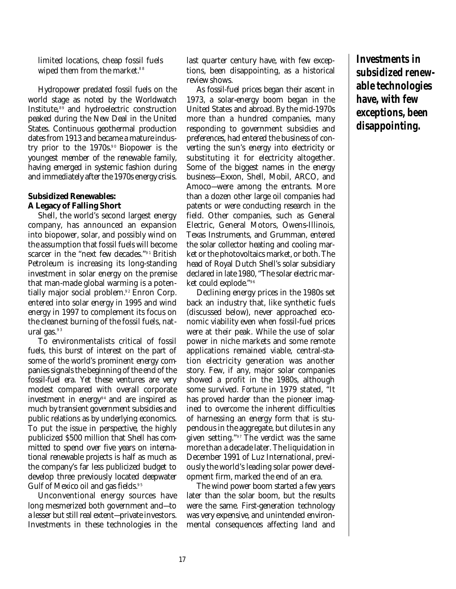limited locations, cheap fossil fuels wiped them from the market. 8 8

Hydropower predated fossil fuels on the world stage as noted by the Worldwatch Institute, 8 9 and hydroelectric construction peaked during the New Deal in the United States. Continuous geothermal production dates from 1913 and became a mature industry prior to the 1970s. 9 0 Biopower is the youngest member of the renewable family, having emerged in systemic fashion during and immediately after the 1970s energy crisis.

#### **Subsidized Renewables: A Legacy of Falling Short**

Shell, the world's second largest energy company, has announced an expansion into biopower, solar, and possibly wind on the assumption that fossil fuels will become scarcer in the "next few decades." 9 1 British Petroleum is increasing its long-standing investment in solar energy on the premise that man-made global warming is a potentially major social problem. 9 2 Enron Corp. entered into solar energy in 1995 and wind energy in 1997 to complement its focus on the cleanest burning of the fossil fuels, natural gas. $^{\mathrm{93}}$ 

To environmentalists critical of fossil fuels, this burst of interest on the part of some of the world's prominent energy companies signals the beginning of the end of the fossil-fuel era. Yet these ventures are very modest compared with overall corporate investment in energy 9 4 and are inspired as much by transient government subsidies and public relations as by underlying economics. To put the issue in perspective, the highly publicized \$500 million that Shell has committed to spend over five years on international renewable projects is half as much as the company's far less publicized budget to develop three previously located deepwater Gulf of Mexico oil and gas fields. 9 5

Unconventional energy sources have long mesmerized both government and—to a lesser but still real extent—private investors. Investments in these technologies in the

last quarter century have, with few exceptions, been disappointing, as a historical review shows.

As fossil-fuel prices began their ascent in 1973, a solar-energy boom began in the United States and abroad. By the mid-1970s more than a hundred companies, many responding to government subsidies and preferences, had entered the business of converting the sun's energy into electricity or substituting it for electricity altogether. Some of the biggest names in the energy business—Exxon, Shell, Mobil, ARCO, and Amoco—were among the entrants. More than a dozen other large oil companies had patents or were conducting research in the field. Other companies, such as General Electric, General Motors, Owens-Illinois, Texas Instruments, and Grumman, entered the solar collector heating and cooling market or the photovoltaics market, or both. The head of Royal Dutch Shell's solar subsidiary declared in late 1980, "The solar electric market could explode." 9 6

Declining energy prices in the 1980s set back an industry that, like synthetic fuels (discussed below), never approached economic viability even when fossil-fuel prices were at their peak. While the use of solar power in niche markets and some remote applications remained viable, central-station electricity generation was another story. Few, if any, major solar companies showed a profit in the 1980s, although some survived. *Fortune* in 1979 stated, "It has proved harder than the pioneer imagined to overcome the inherent difficulties of harnessing an energy form that is stupendous in the aggregate, but dilutes in any given setting." 9 7 The verdict was the same more than a decade later. The liquidation in December 1991 of Luz International, previously the world's leading solar power development firm, marked the end of an era.

The wind power boom started a few years later than the solar boom, but the results were the same. First-generation technology was very expensive, and unintended environmental consequences affecting land and **Investments in subsidized renewable technologies have, with few exceptions, been disappointing.**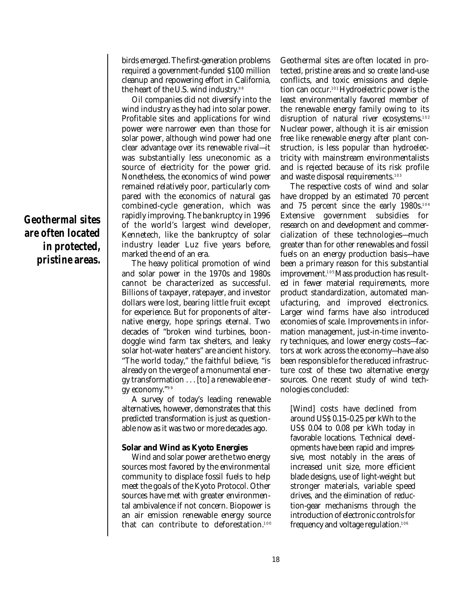**Geothermal sites are often located in protected, pristine areas.** birds emerged. The first-generation problems required a government-funded \$100 million cleanup and repowering effort in California, the heart of the U.S. wind industry.<sup>98</sup>

Oil companies did not diversify into the wind industry as they had into solar power. Profitable sites and applications for wind power were narrower even than those for solar power, although wind power had one clear advantage over its renewable rival—it was substantially less uneconomic as a source of electricity for the power grid. Nonetheless, the economics of wind power remained relatively poor, particularly compared with the economics of natural gas combined-cycle generation, which was rapidly improving. The bankruptcy in 1996 of the world's largest wind developer, Kennetech, like the bankruptcy of solar industry leader Luz five years before, marked the end of an era.

The heavy political promotion of wind and solar power in the 1970s and 1980s cannot be characterized as successful. Billions of taxpayer, ratepayer, and investor dollars were lost, bearing little fruit except for experience. But for proponents of alternative energy, hope springs eternal. Two decades of "broken wind turbines, boondoggle wind farm tax shelters, and leaky solar hot-water heaters" are ancient history. "The world today," the faithful believe, "is already on the verge of a monumental energy transformation . . . [to] a renewable energy economy."<sup>99</sup>

A survey of today's leading renewable alternatives, however, demonstrates that this predicted transformation is just as questionable now as it was two or more decades ago.

#### **Solar and Wind as Kyoto Energies**

Wind and solar power are the two energy sources most favored by the environmental community to displace fossil fuels to help meet the goals of the Kyoto Protocol. Other sources have met with greater environmental ambivalence if not concern. Biopower is an air emission renewable energy source that can contribute to deforestation. 100

Geothermal sites are often located in protected, pristine areas and so create land-use conflicts, and toxic emissions and depletion can occur.101 Hydroelectric power is the least environmentally favored member of the renewable energy family owing to its disruption of natural river ecosystems. 102 Nuclear power, although it is air emission free like renewable energy after plant construction, is less popular than hydroelectricity with mainstream environmentalists and is rejected because of its risk profile and waste disposal requirements. 103

The respective costs of wind and solar have dropped by an estimated 70 percent and 75 percent since the early 1980s. 104 Extensive government subsidies for research on and development and commercialization of these technologies—much greater than for other renewables and fossil fuels on an energy production basis—have been a primary reason for this substantial improvement. <sup>105</sup>Mass production has resulted in fewer material requirements, more product standardization, automated manufacturing, and improved electronics. Larger wind farms have also introduced economies of scale. Improvements in information management, just-in-time inventory techniques, and lower energy costs—factors at work across the economy—have also been responsible for the reduced infrastructure cost of these two alternative energy sources. One recent study of wind technologies concluded:

[Wind] costs have declined from around US\$ 0.15–0.25 per kWh to the US\$ 0.04 to 0.08 per kWh today in favorable locations. Technical developments have been rapid and impressive, most notably in the areas of increased unit size, more efficient blade designs, use of light-weight but stronger materials, variable speed drives, and the elimination of reduction-gear mechanisms through the introduction of electronic controls for frequency and voltage regulation. 106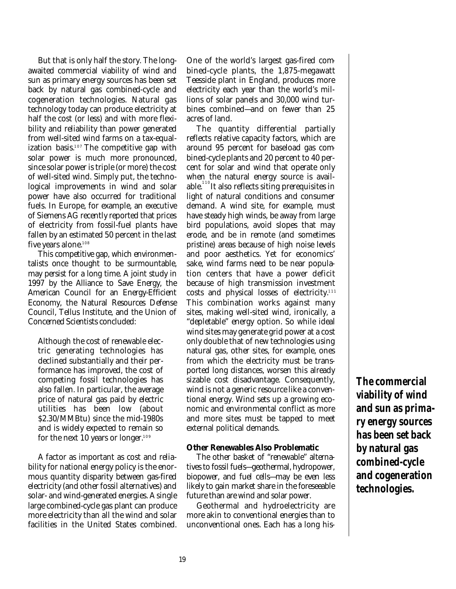But that is only half the story. The longawaited commercial viability of wind and sun as primary energy sources has been set back by natural gas combined-cycle and cogeneration technologies. Natural gas technology today can produce electricity at half the cost (or less) and with more flexibility and reliability than power generated from well-sited wind farms on a tax-equalization basis. <sup>107</sup> The competitive gap with solar power is much more pronounced, since solar power is triple (or more) the cost of well-sited wind. Simply put, the technological improvements in wind and solar power have also occurred for traditional fuels. In Europe, for example, an executive of Siemens AG recently reported that prices of electricity from fossil-fuel plants have fallen by an estimated 50 percent in the last five years alone. 108

This competitive gap, which environmentalists once thought to be surmountable, may persist for a long time. A joint study in 1997 by the Alliance to Save Energy, the American Council for an Energy-Efficient Economy, the Natural Resources Defense Council, Tellus Institute, and the Union of Concerned Scientists concluded:

Although the cost of renewable electric generating technologies has declined substantially and their performance has improved, the cost of competing fossil technologies has also fallen. In particular, the average price of natural gas paid by electric utilities has been low (about \$2.30/MMBtu) since the mid-1980s and is widely expected to remain so for the next 10 years or longer. 109

A factor as important as cost and reliability for national energy policy is the enormous quantity disparity between gas-fired electricity (and other fossil alternatives) and solar- and wind-generated energies. A single large combined-cycle gas plant can produce more electricity than all the wind and solar facilities in the United States combined.

One of the world's largest gas-fired combined-cycle plants, the 1,875-megawatt Teesside plant in England, produces more electricity each year than the world's millions of solar panels and 30,000 wind turbines combined—and on fewer than 25 acres of land.

The quantity differential partially reflects relative capacity factors, which are around 95 percent for baseload gas combined-cycle plants and 20 percent to 40 percent for solar and wind that operate only when the natural energy source is available.<sup>110</sup>It also reflects siting prerequisites in light of natural conditions and consumer demand. A wind site, for example, must have steady high winds, be away from large bird populations, avoid slopes that may erode, and be in remote (and sometimes pristine) areas because of high noise levels and poor aesthetics. Yet for economics' sake, wind farms need to be near population centers that have a power deficit because of high transmission investment costs and physical losses of electricity. 111 This combination works against many sites, making well-sited wind, ironically, a "depletable" energy option. So while ideal wind sites may generate grid power at a cost only double that of new technologies using natural gas, other sites, for example, ones from which the electricity must be transported long distances, worsen this already sizable cost disadvantage. Consequently, wind is not a generic resource like a conventional energy. Wind sets up a growing economic and environmental conflict as more and more sites must be tapped to meet external political demands.

#### **Other Renewables Also Problematic**

The other basket of "renewable" alternatives to fossil fuels—geothermal, hydropower, biopower, and fuel cells—may be even less likely to gain market share in the foreseeable future than are wind and solar power.

Geothermal and hydroelectricity are more akin to conventional energies than to unconventional ones. Each has a long his**The commercial viability of wind and sun as primary energy sources has been set back by natural gas combined-cycle and cogeneration technologies.**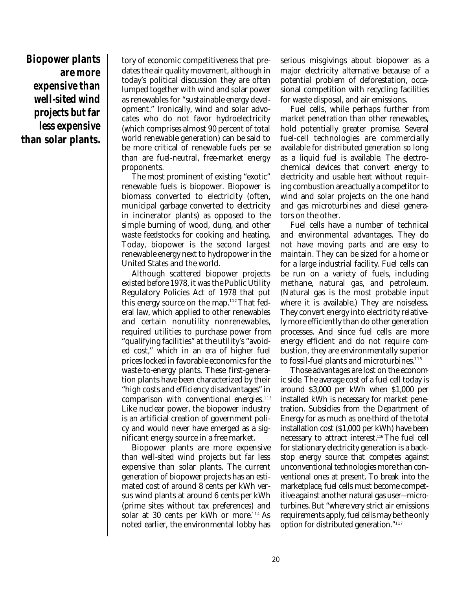**Biopower plants are more expensive than well-sited wind projects but far less expensive than solar plants.**

tory of economic competitiveness that predates the air quality movement, although in today's political discussion they are often lumped together with wind and solar power as renewables for "sustainable energy development." Ironically, wind and solar advocates who do not favor hydroelectricity (which comprises almost 90 percent of total world renewable generation) can be said to be more critical of renewable fuels per se than are fuel-neutral, free-market energy proponents.

The most prominent of existing "exotic" renewable fuels is biopower. Biopower is biomass converted to electricity (often, municipal garbage converted to electricity in incinerator plants) as opposed to the simple burning of wood, dung, and other waste feedstocks for cooking and heating. Today, biopower is the second largest renewable energy next to hydropower in the United States and the world.

Although scattered biopower projects existed before 1978, it was the Public Utility Regulatory Policies Act of 1978 that put this energy source on the map.<sup>112</sup>That federal law, which applied to other renewables and certain nonutility nonrenewables, required utilities to purchase power from "qualifying facilities" at the utility's "avoided cost," which in an era of higher fuel prices locked in favorable economics for the waste-to-energy plants. These first-generation plants have been characterized by their "high costs and efficiency disadvantages" in comparison with conventional energies. 113 Like nuclear power, the biopower industry is an artificial creation of government policy and would never have emerged as a significant energy source in a free market.

Biopower plants are more expensive than well-sited wind projects but far less expensive than solar plants. The current generation of biopower projects has an estimated cost of around 8 cents per kWh versus wind plants at around 6 cents per kWh (prime sites without tax preferences) and solar at 30 cents per kWh or more. <sup>114</sup> As noted earlier, the environmental lobby has

serious misgivings about biopower as a major electricity alternative because of a potential problem of deforestation, occasional competition with recycling facilities for waste disposal, and air emissions.

Fuel cells, while perhaps further from market penetration than other renewables, hold potentially greater promise. Several fuel-cell technologies are commercially available for distributed generation so long as a liquid fuel is available. The electrochemical devices that convert energy to electricity and usable heat without requiring combustion are actually a competitor to wind and solar projects on the one hand and gas microturbines and diesel generators on the other.

Fuel cells have a number of technical and environmental advantages. They do not have moving parts and are easy to maintain. They can be sized for a home or for a large industrial facility. Fuel cells can be run on a variety of fuels, including methane, natural gas, and petroleum. (Natural gas is the most probable input where it is available.) They are noiseless. They convert energy into electricity relatively more efficiently than do other generation processes. And since fuel cells are more energy efficient and do not require combustion, they are environmentally superior to fossil-fuel plants and microturbines. 115

Those advantages are lost on the economic side. The average cost of a fuel cell today is around \$3,000 per kWh when \$1,000 per installed kWh is necessary for market penetration. Subsidies from the Department of Energy for as much as one-third of the total installation cost (\$1,000 per kWh) have been necessary to attract interest.116 The fuel cell for stationary electricity generation is a backstop energy source that competes against unconventional technologies more than conventional ones at present. To break into the marketplace, fuel cells must become competitive against another natural gas user—microturbines. But "where very strict air emissions requirements apply, fuel cells may be the only option for distributed generation." 117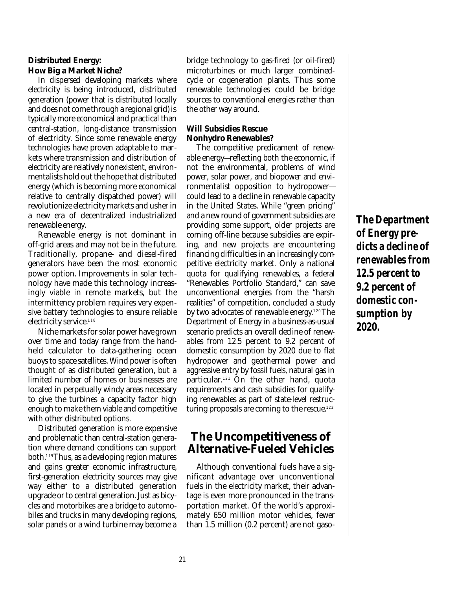#### **Distributed Energy: How Big a Market Niche?**

In dispersed developing markets where electricity is being introduced, distributed generation (power that is distributed locally and does not come through a regional grid) is typically more economical and practical than central-station, long-distance transmission of electricity. Since some renewable energy technologies have proven adaptable to markets where transmission and distribution of electricity are relatively nonexistent, environmentalists hold out the hope that distributed energy (which is becoming more economical relative to centrally dispatched power) will revolutionize electricity markets and usher in a new era of decentralized industrialized renewable energy.

Renewable energy is not dominant in off-grid areas and may not be in the future. Traditionally, propane- and diesel-fired generators have been the most economic power option. Improvements in solar technology have made this technology increasingly viable in remote markets, but the intermittency problem requires very expensive battery technologies to ensure reliable electricity service. 118

Niche markets for solar power have grown over time and today range from the handheld calculator to data-gathering ocean buoys to space satellites. Wind power is often thought of as distributed generation, but a limited number of homes or businesses are located in perpetually windy areas necessary to give the turbines a capacity factor high enough to make them viable and competitive with other distributed options.

Distributed generation is more expensive and problematic than central-station generation where demand conditions can support both. <sup>119</sup>Thus, as a developing region matures and gains greater economic infrastructure, first-generation electricity sources may give way either to a distributed generation upgrade or to central generation. Just as bicycles and motorbikes are a bridge to automobiles and trucks in many developing regions, solar panels or a wind turbine may become a

bridge technology to gas-fired (or oil-fired) microturbines or much larger combinedcycle or cogeneration plants. Thus some renewable technologies could be bridge sources to conventional energies rather than the other way around.

#### **Will Subsidies Rescue Nonhydro Renewables?**

The competitive predicament of renewable energy—reflecting both the economic, if not the environmental, problems of wind power, solar power, and biopower and environmentalist opposition to hydropower could lead to a decline in renewable capacity in the United States. While "green pricing" and a new round of government subsidies are providing some support, older projects are coming off-line because subsidies are expiring, and new projects are encountering financing difficulties in an increasingly competitive electricity market. Only a national quota for qualifying renewables, a federal "Renewables Portfolio Standard," can save unconventional energies from the "harsh realities" of competition, concluded a study by two advocates of renewable energy.120 The Department of Energy in a business-as-usual scenario predicts an overall decline of renewables from 12.5 percent to 9.2 percent of domestic consumption by 2020 due to flat hydropower and geothermal power and aggressive entry by fossil fuels, natural gas in particular. <sup>121</sup> On the other hand, quota requirements and cash subsidies for qualifying renewables as part of state-level restructuring proposals are coming to the rescue. 122

# **The Uncompetitiveness of Alternative-Fueled Vehicles**

Although conventional fuels have a significant advantage over unconventional fuels in the electricity market, their advantage is even more pronounced in the transportation market. Of the world's approximately 650 million motor vehicles, fewer than 1.5 million (0.2 percent) are not gaso**The Department of Energy predicts a decline of renewables from 12.5 percent to 9.2 percent of domestic consumption by 2020.**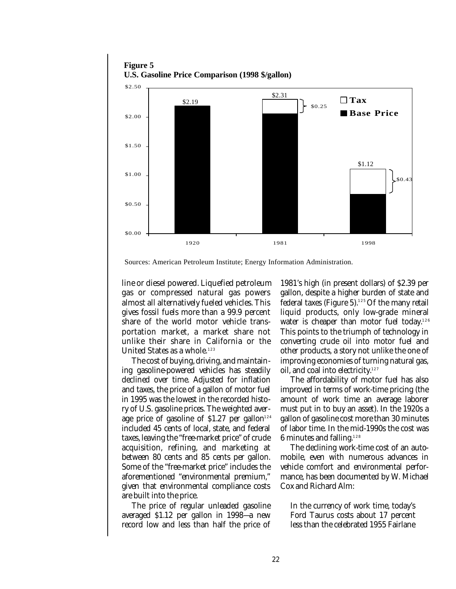

**Figure 5**

Sources: American Petroleum Institute; Energy Information Administration.

line or diesel powered. Liquefied petroleum gas or compressed natural gas powers almost all alternatively fueled vehicles. This gives fossil fuels more than a 99.9 percent share of the world motor vehicle transportation market, a market share not unlike their share in California or the United States as a whole. 123

The cost of buying, driving, and maintaining gasoline-powered vehicles has steadily declined over time. Adjusted for inflation and taxes, the price of a gallon of motor fuel in 1995 was the lowest in the recorded history of U.S. gasoline prices. The weighted average price of gasoline of \$1.27 per gallon<sup>124</sup> included 45 cents of local, state, and federal taxes, leaving the "free-market price" of crude acquisition, refining, and marketing at between 80 cents and 85 cents per gallon. Some of the "free-market price" includes the aforementioned "environmental premium," given that environmental compliance costs are built into the price.

The price of regular unleaded gasoline averaged \$1.12 per gallon in 1998—a new record low and less than half the price of

1981's high (in present dollars) of \$2.39 per gallon, despite a higher burden of state and federal taxes (Figure 5). <sup>125</sup> Of the many retail liquid products, only low-grade mineral water is cheaper than motor fuel today. 126 This points to the triumph of technology in converting crude oil into motor fuel and other products, a story not unlike the one of improving economies of turning natural gas, oil, and coal into electricity. 127

The affordability of motor fuel has also improved in terms of work-time pricing (the amount of work time an average laborer must put in to buy an asset). In the 1920s a gallon of gasoline cost more than 30 minutes of labor time. In the mid-1990s the cost was  $6$  minutes and falling. $^{12\,8}$ 

The declining work-time cost of an automobile, even with numerous advances in vehicle comfort and environmental performance, has been documented by W. Michael Cox and Richard Alm:

In the currency of work time, today's Ford Taurus costs about 17 percent less than the celebrated 1955 Fairlane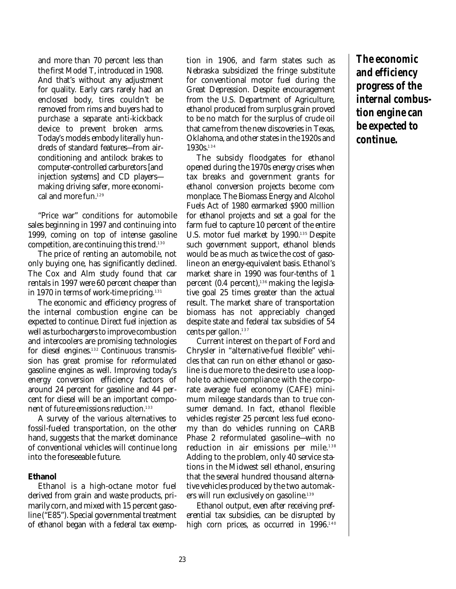and more than 70 percent less than the first Model T, introduced in 1908. And that's without any adjustment for quality. Early cars rarely had an enclosed body, tires couldn't be removed from rims and buyers had to purchase a separate anti-kickback device to prevent broken arms. Today's models embody literally hundreds of standard features—from airconditioning and antilock brakes to computer-controlled carburetors [and injection systems] and CD players making driving safer, more economical and more fun. 129

"Price war" conditions for automobile sales beginning in 1997 and continuing into 1999, coming on top of intense gasoline competition, are continuing this trend. 130

The price of renting an automobile, not only buying one, has significantly declined. The Cox and Alm study found that car rentals in 1997 were 60 percent cheaper than in 1970 in terms of work-time pricing. 131

The economic and efficiency progress of the internal combustion engine can be expected to continue. Direct fuel injection as well as turbochargers to improve combustion and intercoolers are promising technologies for diesel engines. <sup>132</sup> Continuous transmission has great promise for reformulated gasoline engines as well. Improving today's energy conversion efficiency factors of around 24 percent for gasoline and 44 percent for diesel will be an important component of future emissions reduction. 133

A survey of the various alternatives to fossil-fueled transportation, on the other hand, suggests that the market dominance of conventional vehicles will continue long into the foreseeable future.

#### **Ethanol**

Ethanol is a high-octane motor fuel derived from grain and waste products, primarily corn, and mixed with 15 percent gasoline ("E85"). Special governmental treatment of ethanol began with a federal tax exemp-

tion in 1906, and farm states such as Nebraska subsidized the fringe substitute for conventional motor fuel during the Great Depression. Despite encouragement from the U.S. Department of Agriculture, ethanol produced from surplus grain proved to be no match for the surplus of crude oil that came from the new discoveries in Texas, Oklahoma, and other states in the 1920s and 1930s. 134

The subsidy floodgates for ethanol opened during the 1970s energy crises when tax breaks and government grants for ethanol conversion projects become commonplace. The Biomass Energy and Alcohol Fuels Act of 1980 earmarked \$900 million for ethanol projects and set a goal for the farm fuel to capture 10 percent of the entire U.S. motor fuel market by 1990. <sup>135</sup> Despite such government support, ethanol blends would be as much as twice the cost of gasoline on an energy-equivalent basis. Ethanol's market share in 1990 was four-tenths of 1 percent (0.4 percent), <sup>136</sup> making the legislative goal 25 times greater than the actual result. The market share of transportation biomass has not appreciably changed despite state and federal tax subsidies of 54 cents per gallon. 137

Current interest on the part of Ford and Chrysler in "alternative-fuel flexible" vehicles that can run on either ethanol or gasoline is due more to the desire to use a loophole to achieve compliance with the corporate average fuel economy (CAFE) minimum mileage standards than to true consumer demand. In fact, ethanol flexible vehicles register 25 percent less fuel economy than do vehicles running on CARB Phase 2 reformulated gasoline—with no reduction in air emissions per mile. 138 Adding to the problem, only 40 service stations in the Midwest sell ethanol, ensuring that the several hundred thousand alternative vehicles produced by the two automakers will run exclusively on gasoline. 139

Ethanol output, even after receiving preferential tax subsidies, can be disrupted by high corn prices, as occurred in 1996. 140

**The economic and efficiency progress of the internal combustion engine can be expected to continue.**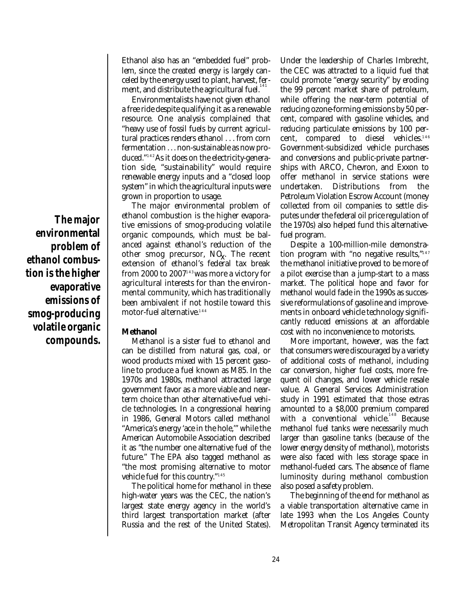**The major environmental problem of ethanol combustion is the higher evaporative emissions of smog-producing volatile organic compounds.**

Ethanol also has an "embedded fuel" problem, since the created energy is largely canceled by the energy used to plant, harvest, ferment, and distribute the agricultural fuel. 141

Environmentalists have not given ethanol a free ride despite qualifying it as a renewable resource. One analysis complained that "heavy use of fossil fuels by current agricultural practices renders ethanol . . . from corn fermentation . . . non-sustainable as now produced." 142As it does on the electricity-generation side, "sustainability" would require renewable energy inputs and a "closed loop system" in which the agricultural inputs were grown in proportion to usage.

The major environmental problem of ethanol combustion is the higher evaporative emissions of smog-producing volatile organic compounds, which must be balanced against ethanol's reduction of the other smog precursor, NOx . The recent extension of ethanol's federal tax break from 2000 to 2007'<sup>13</sup>was more a victory for agricultural interests for than the environmental community, which has traditionally been ambivalent if not hostile toward this motor-fuel alternative. 144

#### **Methanol**

Methanol is a sister fuel to ethanol and can be distilled from natural gas, coal, or wood products mixed with 15 percent gasoline to produce a fuel known as M85. In the 1970s and 1980s, methanol attracted large government favor as a more viable and nearterm choice than other alternative-fuel vehicle technologies. In a congressional hearing in 1986, General Motors called methanol "America's energy 'ace in the hole,'" while the American Automobile Association described it as "the number one alternative fuel of the future." The EPA also tagged methanol as "the most promising alternative to motor vehicle fuel for this country." 145

The political home for methanol in these high-water years was the CEC, the nation's largest state energy agency in the world's third largest transportation market (after Russia and the rest of the United States).

Under the leadership of Charles Imbrecht, the CEC was attracted to a liquid fuel that could promote "energy security" by eroding the 99 percent market share of petroleum, while offering the near-term potential of reducing ozone-forming emissions by 50 percent, compared with gasoline vehicles, and reducing particulate emissions by 100 percent, compared to diesel vehicles. 146 Government-subsidized vehicle purchases and conversions and public-private partnerships with ARCO, Chevron, and Exxon to offer methanol in service stations were undertaken. Distributions from the Petroleum Violation Escrow Account (money collected from oil companies to settle disputes under the federal oil price regulation of the 1970s) also helped fund this alternativefuel program.

Despite a 100-million-mile demonstration program with "no negative results," 147 the methanol initiative proved to be more of a pilot exercise than a jump-start to a mass market. The political hope and favor for methanol would fade in the 1990s as successive reformulations of gasoline and improvements in onboard vehicle technology significantly reduced emissions at an affordable cost with no inconvenience to motorists.

More important, however, was the fact that consumers were discouraged by a variety of additional costs of methanol, including car conversion, higher fuel costs, more frequent oil changes, and lower vehicle resale value. A General Services Administration study in 1991 estimated that those extras amounted to a \$8,000 premium compared with a conventional vehicle.<sup>148</sup> Because methanol fuel tanks were necessarily much larger than gasoline tanks (because of the lower energy density of methanol), motorists were also faced with less storage space in methanol-fueled cars. The absence of flame luminosity during methanol combustion also posed a safety problem.

The beginning of the end for methanol as a viable transportation alternative came in late 1993 when the Los Angeles County Metropolitan Transit Agency terminated its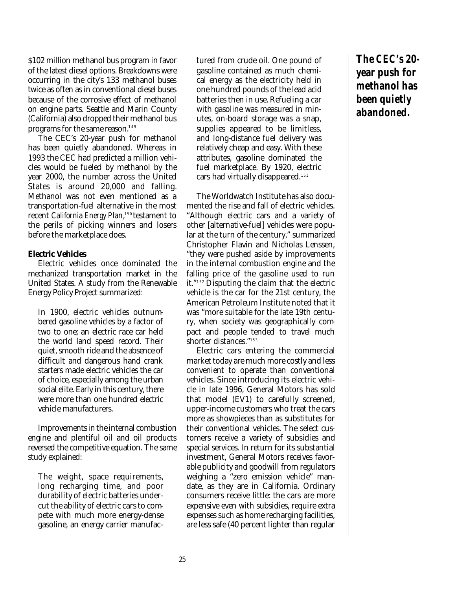\$102 million methanol bus program in favor of the latest diesel options. Breakdowns were occurring in the city's 133 methanol buses twice as often as in conventional diesel buses because of the corrosive effect of methanol on engine parts. Seattle and Marin County (California) also dropped their methanol bus programs for the same reason. 149

The CEC's 20-year push for methanol has been quietly abandoned. Whereas in 1993 the CEC had predicted a million vehicles would be fueled by methanol by the year 2000, the number across the United States is around 20,000 and falling. Methanol was not even mentioned as a transportation-fuel alternative in the most recent *California Energy Plan*,<sup>150</sup> testament to the perils of picking winners and losers before the marketplace does.

#### **Electric Vehicles**

Electric vehicles once dominated the mechanized transportation market in the United States. A study from the Renewable Energy Policy Project summarized:

In 1900, electric vehicles outnumbered gasoline vehicles by a factor of two to one; an electric race car held the world land speed record. Their quiet, smooth ride and the absence of difficult and dangerous hand crank starters made electric vehicles the car of choice, especially among the urban social elite. Early in this century, there were more than one hundred electric vehicle manufacturers.

Improvements in the internal combustion engine and plentiful oil and oil products reversed the competitive equation. The same study explained:

The weight, space requirements, long recharging time, and poor durability of electric batteries undercut the ability of electric cars to compete with much more energy-dense gasoline, an energy carrier manufactured from crude oil. One pound of gasoline contained as much chemical energy as the electricity held in one hundred pounds of the lead acid batteries then in use. Refueling a car with gasoline was measured in minutes, on-board storage was a snap, supplies appeared to be limitless, and long-distance fuel delivery was relatively cheap and easy. With these attributes, gasoline dominated the fuel marketplace. By 1920, electric cars had virtually disappeared. 151

The Worldwatch Institute has also documented the rise and fall of electric vehicles. "Although electric cars and a variety of other [alternative-fuel] vehicles were popular at the turn of the century," summarized Christopher Flavin and Nicholas Lenssen, "they were pushed aside by improvements in the internal combustion engine and the falling price of the gasoline used to run it." <sup>152</sup> Disputing the claim that the electric vehicle is the car for the 21st century, the American Petroleum Institute noted that it was "more suitable for the late 19th century, when society was geographically compact and people tended to travel much shorter distances." 153

Electric cars entering the commercial market today are much more costly and less convenient to operate than conventional vehicles. Since introducing its electric vehicle in late 1996, General Motors has sold that model (EV1) to carefully screened, upper-income customers who treat the cars more as showpieces than as substitutes for their conventional vehicles. The select customers receive a variety of subsidies and special services. In return for its substantial investment, General Motors receives favorable publicity and goodwill from regulators weighing a "zero emission vehicle" mandate, as they are in California. Ordinary consumers receive little: the cars are more expensive even with subsidies, require extra expenses such as home recharging facilities, are less safe (40 percent lighter than regular

**The CEC's 20 year push for methanol has been quietly abandoned.**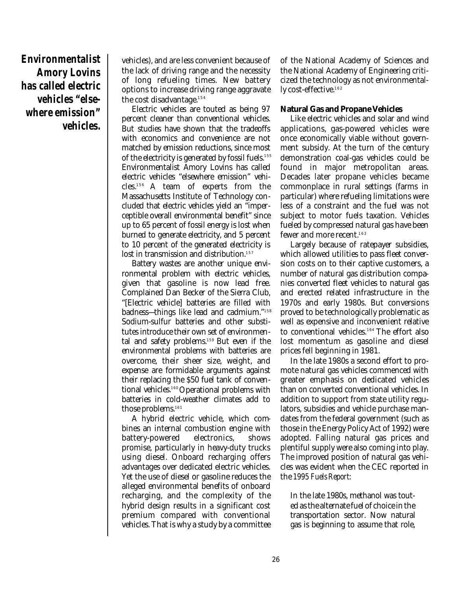**Environmentalist Amory Lovins has called electric vehicles "elsewhere emission" vehicles.**

vehicles), and are less convenient because of the lack of driving range and the necessity of long refueling times. New battery options to increase driving range aggravate the cost disadvantage. 154

Electric vehicles are touted as being 97 percent cleaner than conventional vehicles. But studies have shown that the tradeoffs with economics and convenience are not matched by emission reductions, since most of the electricity is generated by fossil fuels. 155 Environmentalist Amory Lovins has called electric vehicles "elsewhere emission" vehicles. <sup>156</sup> A team of experts from the Massachusetts Institute of Technology concluded that electric vehicles yield an "imperceptible overall environmental benefit" since up to 65 percent of fossil energy is lost when burned to generate electricity, and 5 percent to 10 percent of the generated electricity is lost in transmission and distribution. 157

Battery wastes are another unique environmental problem with electric vehicles, given that gasoline is now lead free. Complained Dan Becker of the Sierra Club, "[Electric vehicle] batteries are filled with badness—things like lead and cadmium." 158 Sodium-sulfur batteries and other substitutes introduce their own set of environmental and safety problems. <sup>159</sup> But even if the environmental problems with batteries are overcome, their sheer size, weight, and expense are formidable arguments against their replacing the \$50 fuel tank of conventional vehicles.160 Operational problems with batteries in cold-weather climates add to those problems. 161

A hybrid electric vehicle, which combines an internal combustion engine with battery-powered electronics, shows promise, particularly in heavy-duty trucks using diesel. Onboard recharging offers advantages over dedicated electric vehicles. Yet the use of diesel or gasoline reduces the alleged environmental benefits of onboard recharging, and the complexity of the hybrid design results in a significant cost premium compared with conventional vehicles. That is why a study by a committee of the National Academy of Sciences and the National Academy of Engineering criticized the technology as not environmentally cost-effective. 162

#### **Natural Gas and Propane Vehicles**

Like electric vehicles and solar and wind applications, gas-powered vehicles were once economically viable without government subsidy. At the turn of the century demonstration coal-gas vehicles could be found in major metropolitan areas. Decades later propane vehicles became commonplace in rural settings (farms in particular) where refueling limitations were less of a constraint and the fuel was not subject to motor fuels taxation. Vehicles fueled by compressed natural gas have been fewer and more recent. 163

Largely because of ratepayer subsidies, which allowed utilities to pass fleet conversion costs on to their captive customers, a number of natural gas distribution companies converted fleet vehicles to natural gas and erected related infrastructure in the 1970s and early 1980s. But conversions proved to be technologically problematic as well as expensive and inconvenient relative to conventional vehicles. <sup>164</sup> The effort also lost momentum as gasoline and diesel prices fell beginning in 1981.

In the late 1980s a second effort to promote natural gas vehicles commenced with greater emphasis on dedicated vehicles than on converted conventional vehicles. In addition to support from state utility regulators, subsidies and vehicle purchase mandates from the federal government (such as those in the Energy Policy Act of 1992) were adopted. Falling natural gas prices and plentiful supply were also coming into play. The improved position of natural gas vehicles was evident when the CEC reported in the *1995 Fuels Report*:

In the late 1980s, methanol was touted as the alternate fuel of choice in the transportation sector. Now natural gas is beginning to assume that role,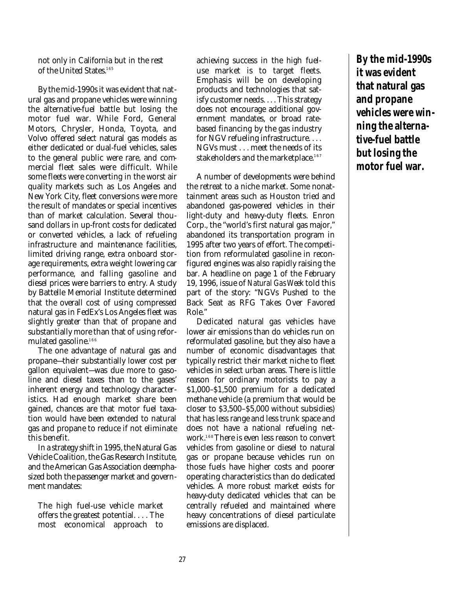not only in California but in the rest of the United States. 165

By the mid-1990s it was evident that natural gas and propane vehicles were winning the alternative-fuel battle but losing the motor fuel war. While Ford, General Motors, Chrysler, Honda, Toyota, and Volvo offered select natural gas models as either dedicated or dual-fuel vehicles, sales to the general public were rare, and commercial fleet sales were difficult. While some fleets were converting in the worst air quality markets such as Los Angeles and New York City, fleet conversions were more the result of mandates or special incentives than of market calculation. Several thousand dollars in up-front costs for dedicated or converted vehicles, a lack of refueling infrastructure and maintenance facilities, limited driving range, extra onboard storage requirements, extra weight lowering car performance, and falling gasoline and diesel prices were barriers to entry. A study by Battelle Memorial Institute determined that the overall cost of using compressed natural gas in FedEx's Los Angeles fleet was slightly greater than that of propane and substantially more than that of using reformulated gasoline. 166

The one advantage of natural gas and propane—their substantially lower cost per gallon equivalent—was due more to gasoline and diesel taxes than to the gases' inherent energy and technology characteristics. Had enough market share been gained, chances are that motor fuel taxation would have been extended to natural gas and propane to reduce if not eliminate this benefit.

In a strategy shift in 1995, the Natural Gas Vehicle Coalition, the Gas Research Institute, and the American Gas Association deemphasized both the passenger market and government mandates:

The high fuel-use vehicle market offers the greatest potential. . . . The most economical approach to

achieving success in the high fueluse market is to target fleets. Emphasis will be on developing products and technologies that satisfy customer needs. . . . This strategy does not encourage additional government mandates, or broad ratebased financing by the gas industry for NGV refueling infrastructure. . . . NGVs must . . . meet the needs of its stakeholders and the marketplace. 167

A number of developments were behind the retreat to a niche market. Some nonattainment areas such as Houston tried and abandoned gas-powered vehicles in their light-duty and heavy-duty fleets. Enron Corp., the "world's first natural gas major," abandoned its transportation program in 1995 after two years of effort. The competition from reformulated gasoline in reconfigured engines was also rapidly raising the bar. A headline on page 1 of the February 19, 1996, issue of *Natural Gas Week* told this part of the story: "NGVs Pushed to the Back Seat as RFG Takes Over Favored Role."

Dedicated natural gas vehicles have lower air emissions than do vehicles run on reformulated gasoline, but they also have a number of economic disadvantages that typically restrict their market niche to fleet vehicles in select urban areas. There is little reason for ordinary motorists to pay a \$1,000–\$1,500 premium for a dedicated methane vehicle (a premium that would be closer to \$3,500–\$5,000 without subsidies) that has less range and less trunk space and does not have a national refueling network. <sup>168</sup> There is even less reason to convert vehicles from gasoline or diesel to natural gas or propane because vehicles run on those fuels have higher costs and poorer operating characteristics than do dedicated vehicles. A more robust market exists for heavy-duty dedicated vehicles that can be centrally refueled and maintained where heavy concentrations of diesel particulate emissions are displaced.

**By the mid-1990s it was evident that natural gas and propane vehicles were winning the alternative-fuel battle but losing the motor fuel war.**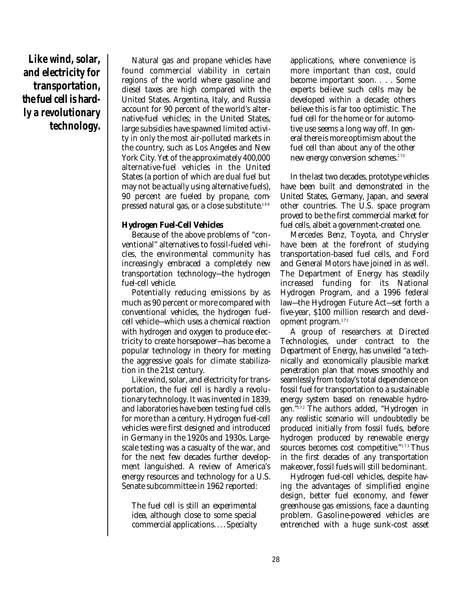**Like wind, solar, and electricity for transportation, the fuel cell is hardly a revolutionary technology.**

Natural gas and propane vehicles have found commercial viability in certain regions of the world where gasoline and diesel taxes are high compared with the United States. Argentina, Italy, and Russia account for 90 percent of the world's alternative-fuel vehicles; in the United States, large subsidies have spawned limited activity in only the most air-polluted markets in the country, such as Los Angeles and New York City. Yet of the approximately 400,000 alternative-fuel vehicles in the United States (a portion of which are dual fuel but may not be actually using alternative fuels), 90 percent are fueled by propane, compressed natural gas, or a close substitute. 169

#### **Hydrogen Fuel-Cell Vehicles**

Because of the above problems of "conventional" alternatives to fossil-fueled vehicles, the environmental community has increasingly embraced a completely new transportation technology—the hydrogen fuel-cell vehicle.

Potentially reducing emissions by as much as 90 percent or more compared with conventional vehicles, the hydrogen fuelcell vehicle—which uses a chemical reaction with hydrogen and oxygen to produce electricity to create horsepower—has become a popular technology in theory for meeting the aggressive goals for climate stabilization in the 21st century.

Like wind, solar, and electricity for transportation, the fuel cell is hardly a revolutionary technology. It was invented in 1839, and laboratories have been testing fuel cells for more than a century. Hydrogen fuel-cell vehicles were first designed and introduced in Germany in the 1920s and 1930s. Largescale testing was a casualty of the war, and for the next few decades further development languished. A review of America's energy resources and technology for a U.S. Senate subcommittee in 1962 reported:

The fuel cell is still an experimental idea, although close to some special commercial applications. . . . Specialty applications, where convenience is more important than cost, could become important soon. . . . Some experts believe such cells may be developed within a decade; others believe this is far too optimistic. The fuel cell for the home or for automotive use seems a long way off. In general there is more optimism about the fuel cell than about any of the other new energy conversion schemes. 170

In the last two decades, prototype vehicles have been built and demonstrated in the United States, Germany, Japan, and several other countries. The U.S. space program proved to be the first commercial market for fuel cells, albeit a government-created one.

Mercedes Benz, Toyota, and Chrysler have been at the forefront of studying transportation-based fuel cells, and Ford and General Motors have joined in as well. The Department of Energy has steadily increased funding for its National Hydrogen Program, and a 1996 federal law—the Hydrogen Future Act—set forth a five-year, \$100 million research and development program. 171

A group of researchers at Directed Technologies, under contract to the Department of Energy, has unveiled "a technically and economically plausible market penetration plan that moves smoothly and seamlessly from today's total dependence on fossil fuel for transportation to a sustainable energy system based on renewable hydrogen." <sup>172</sup> The authors added, "Hydrogen in any realistic scenario will undoubtedly be produced initially from fossil fuels, before hydrogen produced by renewable energy sources becomes cost competitive." <sup>173</sup> Thus in the first decades of any transportation makeover, fossil fuels will still be dominant.

Hydrogen fuel-cell vehicles, despite having the advantages of simplified engine design, better fuel economy, and fewer greenhouse gas emissions, face a daunting problem. Gasoline-powered vehicles are entrenched with a huge sunk-cost asset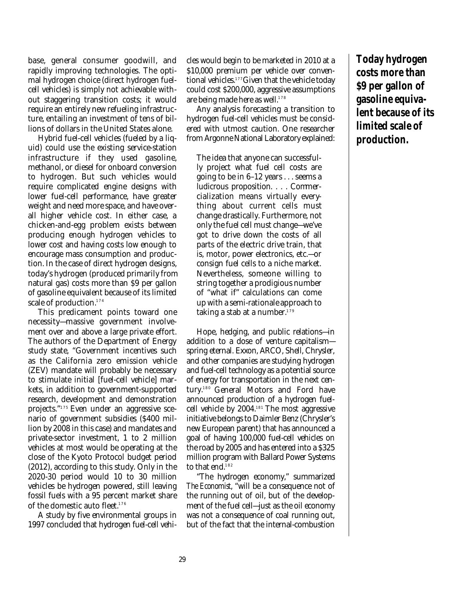base, general consumer goodwill, and rapidly improving technologies. The optimal hydrogen choice (direct hydrogen fuelcell vehicles) is simply not achievable without staggering transition costs; it would require an entirely new refueling infrastructure, entailing an investment of tens of billions of dollars in the United States alone.

Hybrid fuel-cell vehicles (fueled by a liquid) could use the existing service-station infrastructure if they used gasoline, methanol, or diesel for onboard conversion to hydrogen. But such vehicles would require complicated engine designs with lower fuel-cell performance, have greater weight and need more space, and have overall higher vehicle cost. In either case, a chicken-and-egg problem exists between producing enough hydrogen vehicles to lower cost and having costs low enough to encourage mass consumption and production. In the case of direct hydrogen designs, today's hydrogen (produced primarily from natural gas) costs more than \$9 per gallon of gasoline equivalent because of its limited scale of production. 174

This predicament points toward one necessity—massive government involvement over and above a large private effort. The authors of the Department of Energy study state, "Government incentives such as the California zero emission vehicle (ZEV) mandate will probably be necessary to stimulate initial [fuel-cell vehicle] markets, in addition to government-supported research, development and demonstration projects." <sup>175</sup> Even under an aggressive scenario of government subsidies (\$400 million by 2008 in this case) and mandates and private-sector investment, 1 to 2 million vehicles at most would be operating at the close of the Kyoto Protocol budget period (2012), according to this study. Only in the 2020-30 period would 10 to 30 million vehicles be hydrogen powered, still leaving fossil fuels with a 95 percent market share of the domestic auto fleet. 176

A study by five environmental groups in 1997 concluded that hydrogen fuel-cell vehicles would begin to be marketed in 2010 at a \$10,000 premium per vehicle over conventional vehicles. <sup>177</sup>Given that the vehicle today could cost \$200,000, aggressive assumptions are being made here as well. 178

Any analysis forecasting a transition to hydrogen fuel-cell vehicles must be considered with utmost caution. One researcher from Argonne National Laboratory explained:

The idea that anyone can successfully project what fuel cell costs are going to be in 6–12 years . . . seems a ludicrous proposition. . . . Commercialization means virtually everything about current cells must change drastically. Furthermore, not only the fuel cell must change—we've got to drive down the costs of all parts of the electric drive train, that is, motor, power electronics, etc.—or consign fuel cells to a niche market. Nevertheless, someone willing to string together a prodigious number of "what if" calculations can come up with a semi-rationale approach to taking a stab at a number. 179

Hope, hedging, and public relations—in addition to a dose of venture capitalism spring eternal. Exxon, ARCO, Shell, Chrysler, and other companies are studying hydrogen and fuel-cell technology as a potential source of energy for transportation in the next century. <sup>180</sup> General Motors and Ford have announced production of a hydrogen fuelcell vehicle by 2004. <sup>181</sup> The most aggressive initiative belongs to Daimler Benz (Chrysler's new European parent) that has announced a goal of having 100,000 fuel-cell vehicles on the road by 2005 and has entered into a \$325 million program with Ballard Power Systems to that end.<sup>182</sup>

"The hydrogen economy," summarized *The Economist*, "will be a consequence not of the running out of oil, but of the development of the fuel cell—just as the oil economy was not a consequence of coal running out, but of the fact that the internal-combustion

**Today hydrogen costs more than \$9 per gallon of gasoline equivalent because of its limited scale of production.**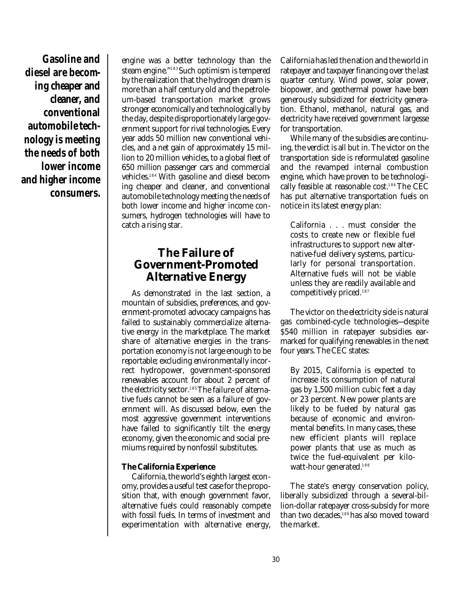**Gasoline and diesel are becoming cheaper and cleaner, and conventional automobile technology is meeting the needs of both lower income and higher income consumers.**

engine was a better technology than the steam engine." <sup>183</sup>Such optimism is tempered by the realization that the hydrogen dream is more than a half century old and the petroleum-based transportation market grows stronger economically and technologically by the day, despite disproportionately large government support for rival technologies. Every year adds 50 million new conventional vehicles, and a net gain of approximately 15 million to 20 million vehicles, to a global fleet of 650 million passenger cars and commercial vehicles. <sup>184</sup> With gasoline and diesel becoming cheaper and cleaner, and conventional automobile technology meeting the needs of both lower income and higher income consumers, hydrogen technologies will have to catch a rising star.

# **The Failure of Government-Promoted Alternative Energy**

As demonstrated in the last section, a mountain of subsidies, preferences, and government-promoted advocacy campaigns has failed to sustainably commercialize alternative energy in the marketplace. The market share of alternative energies in the transportation economy is not large enough to be reportable; excluding environmentally incorrect hydropower, government-sponsored renewables account for about 2 percent of the electricity sector. 185The failure of alternative fuels cannot be seen as a failure of government will. As discussed below, even the most aggressive government interventions have failed to significantly tilt the energy economy, given the economic and social premiums required by nonfossil substitutes.

#### **The California Experience**

California, the world's eighth largest economy, provides a useful test case for the proposition that, with enough government favor, alternative fuels could reasonably compete with fossil fuels. In terms of investment and experimentation with alternative energy,

California has led the nation and the world in ratepayer and taxpayer financing over the last quarter century. Wind power, solar power, biopower, and geothermal power have been generously subsidized for electricity generation. Ethanol, methanol, natural gas, and electricity have received government largesse for transportation.

While many of the subsidies are continuing, the verdict is all but in. The victor on the transportation side is reformulated gasoline and the revamped internal combustion engine, which have proven to be technologically feasible at reasonable cost. <sup>186</sup> The CEC has put alternative transportation fuels on notice in its latest energy plan:

California . . . must consider the costs to create new or flexible fuel infrastructures to support new alternative-fuel delivery systems, particularly for personal transportation. Alternative fuels will not be viable unless they are readily available and competitively priced. 187

The victor on the electricity side is natural gas combined-cycle technologies—despite \$540 million in ratepayer subsidies earmarked for qualifying renewables in the next four years. The CEC states:

By 2015, California is expected to increase its consumption of natural gas by 1,500 million cubic feet a day or 23 percent. New power plants are likely to be fueled by natural gas because of economic and environmental benefits. In many cases, these new efficient plants will replace power plants that use as much as twice the fuel-equivalent per kilowatt-hour generated. 188

The state's energy conservation policy, liberally subsidized through a several-billion-dollar ratepayer cross-subsidy for more than two decades,<sup>189</sup>has also moved toward the market.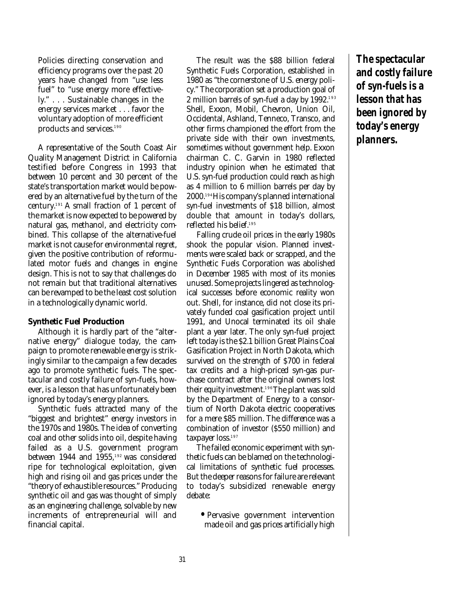Policies directing conservation and efficiency programs over the past 20 years have changed from "use less fuel" to "use energy more effectively." . . . Sustainable changes in the energy services market . . . favor the voluntary adoption of more efficient products and services. 190

A representative of the South Coast Air Quality Management District in California testified before Congress in 1993 that between 10 percent and 30 percent of the state's transportation market would be powered by an alternative fuel by the turn of the century. <sup>191</sup> A small fraction of 1 percent of the market is now expected to be powered by natural gas, methanol, and electricity combined. This collapse of the alternative-fuel market is not cause for environmental regret, given the positive contribution of reformulated motor fuels and changes in engine design. This is not to say that challenges do not remain but that traditional alternatives can be revamped to be the least cost solution in a technologically dynamic world.

#### **Synthetic Fuel Production**

Although it is hardly part of the "alternative energy" dialogue today, the campaign to promote renewable energy is strikingly similar to the campaign a few decades ago to promote synthetic fuels. The spectacular and costly failure of syn-fuels, however, is a lesson that has unfortunately been ignored by today's energy planners.

Synthetic fuels attracted many of the "biggest and brightest" energy investors in the 1970s and 1980s. The idea of converting coal and other solids into oil, despite having failed as a U.S. government program between 1944 and 1955, <sup>192</sup> was considered ripe for technological exploitation, given high and rising oil and gas prices under the "theory of exhaustible resources." Producing synthetic oil and gas was thought of simply as an engineering challenge, solvable by new increments of entrepreneurial will and financial capital.

The result was the \$88 billion federal Synthetic Fuels Corporation, established in 1980 as "the cornerstone of U.S. energy policy." The corporation set a production goal of 2 million barrels of syn-fuel a day by 1992. 193 Shell, Exxon, Mobil, Chevron, Union Oil, Occidental, Ashland, Tenneco, Transco, and other firms championed the effort from the private side with their own investments, sometimes without government help. Exxon chairman C. C. Garvin in 1980 reflected industry opinion when he estimated that U.S. syn-fuel production could reach as high as 4 million to 6 million barrels per day by 2000. <sup>194</sup>His company's planned international syn-fuel investments of \$18 billion, almost double that amount in today's dollars, reflected his belief. 195

Falling crude oil prices in the early 1980s shook the popular vision. Planned investments were scaled back or scrapped, and the Synthetic Fuels Corporation was abolished in December 1985 with most of its monies unused. Some projects lingered as technological successes before economic reality won out. Shell, for instance, did not close its privately funded coal gasification project until 1991, and Unocal terminated its oil shale plant a year later. The only syn-fuel project left today is the \$2.1 billion Great Plains Coal Gasification Project in North Dakota, which survived on the strength of \$700 in federal tax credits and a high-priced syn-gas purchase contract after the original owners lost their equity investment.' $\rm{^{196}The}$  plant was sold by the Department of Energy to a consortium of North Dakota electric cooperatives for a mere \$85 million. The difference was a combination of investor (\$550 million) and taxpayer loss. 197

The failed economic experiment with synthetic fuels can be blamed on the technological limitations of synthetic fuel processes. But the deeper reasons for failure are relevant to today's subsidized renewable energy debate:

**•** Pervasive government intervention made oil and gas prices artificially high

**The spectacular and costly failure of syn-fuels is a lesson that has been ignored by today's energy planners.**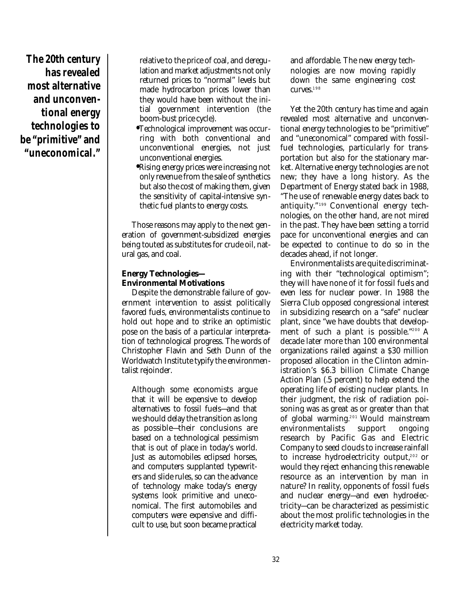**The 20th century has revealed most alternative and unconventional energy technologies to be "primitive" and "uneconomical."**

relative to the price of coal, and deregulation and market adjustments not only returned prices to "normal" levels but made hydrocarbon prices lower than they would have been without the initial government intervention (the boom-bust price cycle).

- **•** Technological improvement was occurring with both conventional and unconventional energies, not just unconventional energies.
- **•** Rising energy prices were increasing not only revenue from the sale of synthetics but also the cost of making them, given the sensitivity of capital-intensive synthetic fuel plants to energy costs.

Those reasons may apply to the next generation of government-subsidized energies being touted as substitutes for crude oil, natural gas, and coal.

#### **Energy Technologies— Environmental Motivations**

Despite the demonstrable failure of government intervention to assist politically favored fuels, environmentalists continue to hold out hope and to strike an optimistic pose on the basis of a particular interpretation of technological progress. The words of Christopher Flavin and Seth Dunn of the Worldwatch Institute typify the environmentalist rejoinder.

Although some economists argue that it will be expensive to develop alternatives to fossil fuels—and that we should delay the transition as long as possible—their conclusions are based on a technological pessimism that is out of place in today's world. Just as automobiles eclipsed horses, and computers supplanted typewriters and slide rules, so can the advance of technology make today's energy systems look primitive and uneconomical. The first automobiles and computers were expensive and difficult to use, but soon became practical

and affordable. The new energy technologies are now moving rapidly down the same engineering cost curves. 198

Yet the 20th century has time and again revealed most alternative and unconventional energy technologies to be "primitive" and "uneconomical" compared with fossilfuel technologies, particularly for transportation but also for the stationary market. Alternative energy technologies are not new; they have a long history. As the Department of Energy stated back in 1988, "The use of renewable energy dates back to antiquity." <sup>199</sup> Conventional energy technologies, on the other hand, are not mired in the past. They have been setting a torrid pace for unconventional energies and can be expected to continue to do so in the decades ahead, if not longer.

Environmentalists are quite discriminating with their "technological optimism"; they will have none of it for fossil fuels and even less for nuclear power. In 1988 the Sierra Club opposed congressional interest in subsidizing research on a "safe" nuclear plant, since "we have doubts that development of such a plant is possible." <sup>200</sup> A decade later more than 100 environmental organizations railed against a \$30 million proposed allocation in the Clinton administration's \$6.3 billion Climate Change Action Plan (.5 percent) to help extend the operating life of existing nuclear plants. In their judgment, the risk of radiation poisoning was as great as or greater than that of global warming. <sup>201</sup> Would mainstream environmentalists support ongoing research by Pacific Gas and Electric Company to seed clouds to increase rainfall to increase hydroelectricity output, <sup>202</sup> or would they reject enhancing this renewable resource as an intervention by man in nature? In reality, opponents of fossil fuels and nuclear energy—and even hydroelectricity—can be characterized as pessimistic about the most prolific technologies in the electricity market today.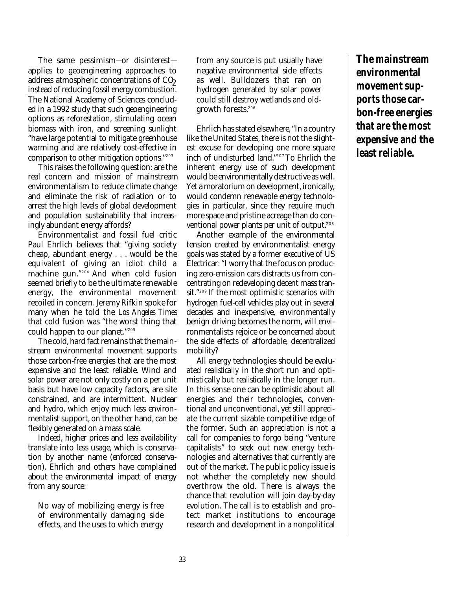The same pessimism—or disinterest applies to geoengineering approaches to address atmospheric concentrations of CO<sub>2</sub> instead of reducing fossil energy combustion. The National Academy of Sciences concluded in a 1992 study that such geoengineering options as reforestation, stimulating ocean biomass with iron, and screening sunlight "have large potential to mitigate greenhouse warming and are relatively cost-effective in comparison to other mitigation options." 203

This raises the following question: are the real concern and mission of mainstream environmentalism to reduce climate change and eliminate the risk of radiation or to arrest the high levels of global development and population sustainability that increasingly abundant energy affords?

Environmentalist and fossil fuel critic Paul Ehrlich believes that "giving society cheap, abundant energy . . . would be the equivalent of giving an idiot child a machine gun." <sup>204</sup> And when cold fusion seemed briefly to be the ultimate renewable energy, the environmental movement recoiled in concern. Jeremy Rifkin spoke for many when he told the *Los Angeles Times* that cold fusion was "the worst thing that could happen to our planet." 205

The cold, hard fact remains that the mainstream environmental movement supports those carbon-free energies that are the most expensive and the least reliable. Wind and solar power are not only costly on a per unit basis but have low capacity factors, are site constrained, and are intermittent. Nuclear and hydro, which enjoy much less environmentalist support, on the other hand, can be flexibly generated on a mass scale.

Indeed, higher prices and less availability translate into less usage, which is conservation by another name (enforced conservation). Ehrlich and others have complained about the environmental impact of energy from any source:

No way of mobilizing energy is free of environmentally damaging side effects, and the uses to which energy from any source is put usually have negative environmental side effects as well. Bulldozers that ran on hydrogen generated by solar power could still destroy wetlands and oldgrowth forests. 206

Ehrlich has stated elsewhere, "In a country like the United States, there is not the slightest excuse for developing one more square inch of undisturbed land." <sup>207</sup> To Ehrlich the inherent energy use of such development would be environmentally destructive as well. Yet a moratorium on development, ironically, would condemn renewable energy technologies in particular, since they require much more space and pristine acreage than do conventional power plants per unit of output. 208

Another example of the environmental tension created by environmentalist energy goals was stated by a former executive of US Electricar: "I worry that the focus on producing zero-emission cars distracts us from concentrating on redeveloping decent mass transit." <sup>209</sup> If the most optimistic scenarios with hydrogen fuel-cell vehicles play out in several decades and inexpensive, environmentally benign driving becomes the norm, will environmentalists rejoice or be concerned about the side effects of affordable, decentralized mobility?

All energy technologies should be evaluated *realistically* in the short run and optimistically but *realistically* in the longer run. In this sense one can be *optimistic* about all energies and their technologies, conventional and unconventional, yet still appreciate the current sizable competitive edge of the former. Such an appreciation is not a call for companies to forgo being "venture capitalists" to seek out new energy technologies and alternatives that currently are out of the market. The public policy issue is not whether the completely new should overthrow the old. There is always the chance that revolution will join day-by-day evolution. The call is to establish and protect market institutions to encourage research and development in a nonpolitical

**The mainstream environmental movement supports those carbon-free energies that are the most expensive and the least reliable.**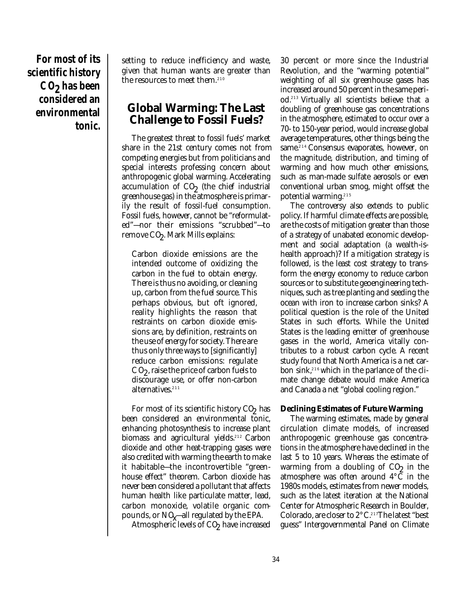**For most of its scientific history C O2 has been considered an environmental tonic.**

setting to reduce inefficiency and waste, given that human wants are greater than the resources to meet them. 210

### **Global Warming: The Last Challenge to Fossil Fuels?**

The greatest threat to fossil fuels' market share in the 21st century comes not from competing energies but from politicians and special interests professing concern about anthropogenic global warming. Accelerating  $\alpha$  accumulation of  $CO_2$  (the chief industrial greenhouse gas) in the atmosphere is primarily the result of fossil-fuel consumption. Fossil fuels, however, cannot be "reformulated"—nor their emissions "scrubbed"—to  $\boldsymbol{\mathrm{remove}}$   $\boldsymbol{\mathrm{CQ}}$ . Mark Mills explains:

Carbon dioxide emissions are the intended outcome of oxidizing the carbon in the fuel to obtain energy. There is thus no avoiding, or cleaning up, carbon from the fuel source. This perhaps obvious, but oft ignored, reality highlights the reason that restraints on carbon dioxide emissions are, by definition, restraints on the use of energy for society. There are thus only three ways to [significantly] reduce carbon emissions: regulate  $CO<sub>2</sub>$ , raise the price of carbon fuels to discourage use, or offer non-carbon alternatives. 211

For most of its scientific history  $CO_2$  has been considered an environmental tonic, enhancing photosynthesis to increase plant biomass and agricultural yields. <sup>212</sup> Carbon dioxide and other heat-trapping gases were also credited with warming the earth to make it habitable—the incontrovertible "greenhouse effect" theorem. Carbon dioxide has never been considered a pollutant that affects human health like particulate matter, lead, carbon monoxide, volatile organic compounds, or  $NQ$ —all regulated by the EPA.

Atmospheric levels of  $\mathrm{CQ}_{\mathrm{2}}$  have increased

30 percent or more since the Industrial Revolution, and the "warming potential" weighting of all six greenhouse gases has increased around 50 percent in the same period. <sup>213</sup> Virtually all scientists believe that a doubling of greenhouse gas concentrations in the atmosphere, estimated to occur over a 70- to 150-year period, would increase global average temperatures, other things being the same. <sup>214</sup> Consensus evaporates, however, on the magnitude, distribution, and timing of warming and how much other emissions, such as man-made sulfate aerosols or even conventional urban smog, might offset the potential warming. 215

The controversy also extends to public policy. If harmful climate effects are possible, are the costs of mitigation greater than those of a strategy of unabated economic development and social adaptation (a wealth-ishealth approach)? If a mitigation strategy is followed, is the least cost strategy to transform the energy economy to reduce carbon sources or to substitute geoengineering techniques, such as tree planting and seeding the ocean with iron to increase carbon sinks? A political question is the role of the United States in such efforts. While the United States is the leading emitter of greenhouse gases in the world, America vitally contributes to a robust carbon cycle. A recent study found that North America is a net carbon sink, $^{216}$  which in the parlance of the climate change debate would make America and Canada a net "global cooling region."

#### **Declining Estimates of Future Warming**

The warming estimates, made by general circulation climate models, of increased anthropogenic greenhouse gas concentrations in the atmosphere have declined in the last 5 to 10 years. Whereas the estimate of warming from a doubling of  $CO<sub>2</sub>$  in the atmosphere was often around 4°C in the 1980s models, estimates from newer models, such as the latest iteration at the National Center for Atmospheric Research in Boulder, Colorado, are closer to 2°C. <sup>217</sup>The latest "best guess" Intergovernmental Panel on Climate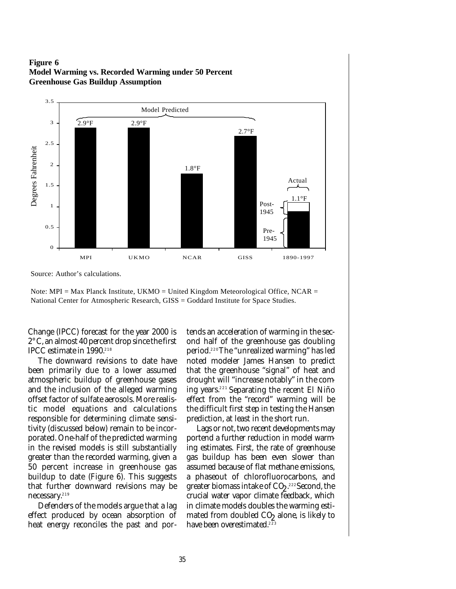**Figure 6 Model Warming vs. Recorded Warming under 50 Percent Greenhouse Gas Buildup Assumption**



Source: Author's calculations.

Note: MPI = Max Planck Institute, UKMO = United Kingdom Meteorological Office, NCAR = National Center for Atmospheric Research, GISS = Goddard Institute for Space Studies.

Change (IPCC) forecast for the year 2000 is 2°C, an almost 40 percent drop since the first IPCC estimate in 1990. 218

The downward revisions to date have been primarily due to a lower assumed atmospheric buildup of greenhouse gases and the inclusion of the alleged warming offset factor of sulfate aerosols. More realistic model equations and calculations responsible for determining climate sensitivity (discussed below) remain to be incorporated. One-half of the predicted warming in the revised models is still substantially greater than the recorded warming, given a 50 percent increase in greenhouse gas buildup to date (Figure 6). This suggests that further downward revisions may be necessary. 219

Defenders of the models argue that a lag effect produced by ocean absorption of heat energy reconciles the past and portends an acceleration of warming in the second half of the greenhouse gas doubling period. <sup>220</sup>The "unrealized warming" has led noted modeler James Hansen to predict that the greenhouse "signal" of heat and drought will "increase notably" in the coming years. <sup>221</sup> Separating the recent El Niño effect from the "record" warming will be the difficult first step in testing the Hansen prediction, at least in the short run.

Lags or not, two recent developments may portend a further reduction in model warming estimates. First, the rate of greenhouse gas buildup has been even slower than assumed because of flat methane emissions, a phaseout of chlorofluorocarbons, and greater biomass intake of CO2.<sup>222</sup> Second, the crucial water vapor climate feedback, which in climate models doubles the warming estimated from doubled CO2 alone, is likely to have been overestimated. 223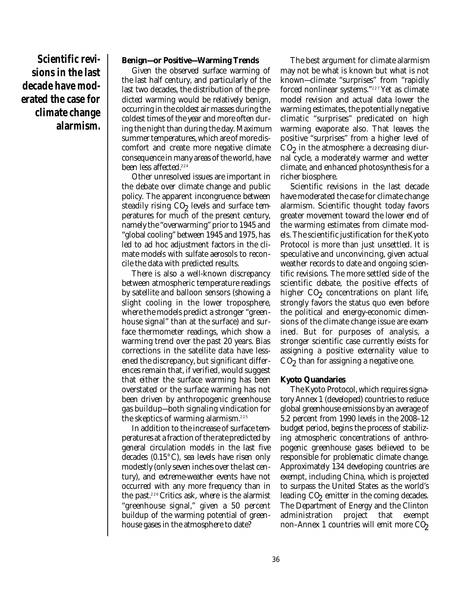**Scientific revisions in the last decade have moderated the case for climate change alarmism.**

#### **Benign—or Positive—Warming Trends**

Given the observed surface warming of the last half century, and particularly of the last two decades, the distribution of the predicted warming would be relatively benign, occurring in the coldest air masses during the coldest times of the year and more often during the night than during the day. Maximum summer temperatures, which are of more discomfort and create more negative climate consequence in many areas of the world, have been less affected. 224

Other unresolved issues are important in the debate over climate change and public policy. The apparent incongruence between steadily rising  $CO<sub>2</sub>$  levels and surface temperatures for much of the present century, namely the "overwarming" prior to 1945 and "global cooling" between 1945 and 1975, has led to ad hoc adjustment factors in the climate models with sulfate aerosols to reconcile the data with predicted results.

There is also a well-known discrepancy between atmospheric temperature readings by satellite and balloon sensors (showing a slight cooling in the lower troposphere, where the models predict a stronger "greenhouse signal" than at the surface) and surface thermometer readings, which show a warming trend over the past 20 years. Bias corrections in the satellite data have lessened the discrepancy, but significant differences remain that, if verified, would suggest that either the surface warming has been overstated or the surface warming has not been driven by anthropogenic greenhouse gas buildup—both signaling vindication for the skeptics of warming alarmism. 225

In addition to the increase of surface temperatures at a fraction of the rate predicted by general circulation models in the last five decades (0.15°C), sea levels have risen only modestly (only seven inches over the last century), and extreme-weather events have not occurred with any more frequency than in the past. <sup>226</sup>Critics ask, where is the alarmist "greenhouse signal," given a 50 percent buildup of the warming potential of greenhouse gases in the atmosphere to date?

The best argument for climate alarmism may not be what is known but what is not known—climate "surprises" from "rapidly forced nonlinear systems." <sup>227</sup> Yet as climate model revision and actual data lower the warming estimates, the potentially negative climatic "surprises" predicated on high warming evaporate also. That leaves the positive "surprises" from a higher level of  $CO<sub>2</sub>$  in the atmosphere: a decreasing diurnal cycle, a moderately warmer and wetter climate, and enhanced photosynthesis for a richer biosphere.

Scientific revisions in the last decade have moderated the case for climate change alarmism. Scientific thought today favors greater movement toward the lower end of the warming estimates from climate models. The scientific justification for the Kyoto Protocol is more than just unsettled. It is speculative and unconvincing, given actual weather records to date and ongoing scientific revisions. The more settled side of the scientific debate, the positive effects of higher CO<sub>2</sub> concentrations on plant life, strongly favors the status quo even before the political and energy-economic dimensions of the climate change issue are examined. But for purposes of analysis, a stronger scientific case currently exists for assigning a positive externality value to  $\mathrm{C}\mathrm{O}\!_\mathrm{2}$  than for assigning a negative one.

#### **Kyoto Quandaries**

The Kyoto Protocol, which requires signatory Annex 1 (developed) countries to reduce global greenhouse emissions by an average of 5.2 percent from 1990 levels in the 2008–12 budget period, begins the process of stabilizing atmospheric concentrations of anthropogenic greenhouse gases believed to be responsible for problematic climate change. Approximately 134 developing countries are exempt, including China, which is projected to surpass the United States as the world's leading CO<sub>2</sub> emitter in the coming decades. The Department of Energy and the Clinton administration project that exempt non–Annex 1 countries will emit more  $CO<sub>2</sub>$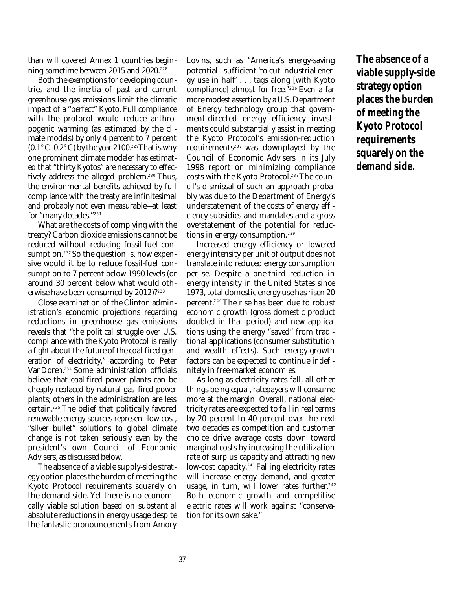than will covered Annex 1 countries beginning sometime between 2015 and 2020. 228

Both the exemptions for developing countries and the inertia of past and current greenhouse gas emissions limit the climatic impact of a "perfect" Kyoto. Full compliance with the protocol would reduce anthropogenic warming (as estimated by the climate models) by only 4 percent to 7 percent  $(0.1\degree \text{C} - 0.2\degree \text{C})$  by the year 2100.<sup>229</sup>That is why one prominent climate modeler has estimated that "thirty Kyotos" are necessary to effectively address the alleged problem. <sup>230</sup> Thus, the environmental benefits achieved by full compliance with the treaty are infinitesimal and probably not even measurable—at least for "many decades." 231

What are the costs of complying with the treaty? Carbon dioxide emissions cannot be reduced without reducing fossil-fuel consumption. <sup>232</sup> So the question is, how expensive would it be to reduce fossil-fuel consumption to 7 percent below 1990 levels (or around 30 percent below what would otherwise have been consumed by 2012)? 233

Close examination of the Clinton administration's economic projections regarding reductions in greenhouse gas emissions reveals that "the political struggle over U.S. compliance with the Kyoto Protocol is really a fight about the future of the coal-fired generation of electricity," according to Peter VanDoren. <sup>234</sup> Some administration officials believe that coal-fired power plants can be cheaply replaced by natural gas–fired power plants; others in the administration are less certain. <sup>235</sup> The belief that politically favored renewable energy sources represent low-cost, "silver bullet" solutions to global climate change is not taken seriously even by the president's own Council of Economic Advisers, as discussed below.

The absence of a viable supply-side strategy option places the burden of meeting the Kyoto Protocol requirements squarely on the demand side. Yet there is no economically viable solution based on substantial absolute reductions in energy usage despite the fantastic pronouncements from Amory Lovins, such as "America's energy-saving potential—sufficient 'to cut industrial energy use in half' . . . tags along [with Kyoto compliance] almost for free." <sup>236</sup> Even a far more modest assertion by a U.S. Department of Energy technology group that government-directed energy efficiency investments could substantially assist in meeting the Kyoto Protocol's emission-reduction requirements <sup>237</sup> was downplayed by the Council of Economic Advisers in its July 1998 report on minimizing compliance costs with the Kyoto Protocol. 238The council's dismissal of such an approach probably was due to the Department of Energy's understatement of the costs of energy efficiency subsidies and mandates and a gross overstatement of the potential for reductions in energy consumption. 239

Increased energy efficiency or lowered energy intensity per unit of output does not translate into reduced energy consumption per se. Despite a one-third reduction in energy intensity in the United States since 1973, total domestic energy use has risen 20 percent. <sup>240</sup> The rise has been due to robust economic growth (gross domestic product doubled in that period) and new applications using the energy "saved" from traditional applications (consumer substitution and wealth effects). Such energy-growth factors can be expected to continue indefinitely in free-market economies.

As long as electricity rates fall, all other things being equal, ratepayers will consume more at the margin. Overall, national electricity rates are expected to fall in real terms by 20 percent to 40 percent over the next two decades as competition and customer choice drive average costs down toward marginal costs by increasing the utilization rate of surplus capacity and attracting new low-cost capacity. <sup>241</sup> Falling electricity rates will increase energy demand, and greater usage, in turn, will lower rates further. 242 Both economic growth and competitive electric rates will work against "conservation for its own sake."

**The absence of a viable supply-side strategy option places the burden of meeting the Kyoto Protocol requirements squarely on the demand side.**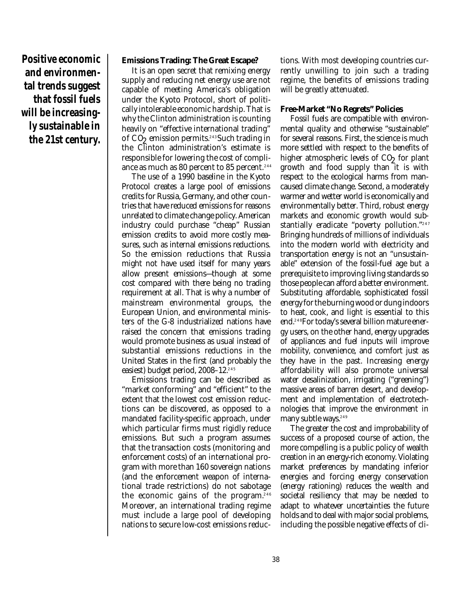**Positive economic and environmental trends suggest that fossil fuels will be increasingly sustainable in the 21st century.**

#### **Emissions Trading: The Great Escape?**

It is an open secret that remixing energy supply and reducing net energy use are not capable of meeting America's obligation under the Kyoto Protocol, short of politically intolerable economic hardship. That is why the Clinton administration is counting heavily on "effective international trading" of CO<sub>2</sub> emission permits.<sup>243</sup>Such trading in the Clinton administration's estimate is responsible for lowering the cost of compliance as much as 80 percent to 85 percent. 244

The use of a 1990 baseline in the Kyoto Protocol creates a large pool of emissions credits for Russia, Germany, and other countries that have reduced emissions for reasons unrelated to climate change policy. American industry could purchase "cheap" Russian emission credits to avoid more costly measures, such as internal emissions reductions. So the emission reductions that Russia might not have used itself for many years allow present emissions—though at some cost compared with there being no trading requirement at all. That is why a number of mainstream environmental groups, the European Union, and environmental ministers of the G-8 industrialized nations have raised the concern that emissions trading would promote business as usual instead of substantial emissions reductions in the United States in the first (and probably the easiest) budget period, 2008–12. 245

Emissions trading can be described as "market conforming" and "efficient" to the extent that the lowest cost emission reductions can be discovered, as opposed to a mandated facility-specific approach, under which particular firms must rigidly reduce emissions. But such a program assumes that the transaction costs (monitoring and enforcement costs) of an international program with more than 160 sovereign nations (and the enforcement weapon of international trade restrictions) do not sabotage the economic gains of the program. 246 Moreover, an international trading regime must include a large pool of developing nations to secure low-cost emissions reductions. With most developing countries currently unwilling to join such a trading regime, the benefits of emissions trading will be greatly attenuated.

#### **Free-Market "No Regrets" Policies**

Fossil fuels are compatible with environmental quality and otherwise "sustainable" for several reasons. First, the science is much more settled with respect to the benefits of higher atmospheric levels of CO<sub>2</sub> for plant growth and food supply than it is with respect to the ecological harms from mancaused climate change. Second, a moderately warmer and wetter world is economically and environmentally better. Third, robust energy markets and economic growth would substantially eradicate "poverty pollution." 247 Bringing hundreds of millions of individuals into the modern world with electricity and transportation energy is not an "unsustainable" extension of the fossil-fuel age but a prerequisite to improving living standards so those people can afford a better environment. Substituting affordable, sophisticated fossil energy for the burning wood or dung indoors to heat, cook, and light is essential to this end. 248For today's several billion mature energy users, on the other hand, energy upgrades of appliances and fuel inputs will improve mobility, convenience, and comfort just as they have in the past. Increasing energy affordability will also promote universal water desalinization, irrigating ("greening") massive areas of barren desert, and development and implementation of electrotechnologies that improve the environment in many subtle ways. 249

The greater the cost and improbability of success of a proposed course of action, the more compelling is a public policy of wealth creation in an energy-rich economy. Violating market preferences by mandating inferior energies and forcing energy conservation (energy rationing) reduces the wealth and societal resiliency that may be needed to adapt to whatever uncertainties the future holds and to deal with major social problems, including the possible negative effects of cli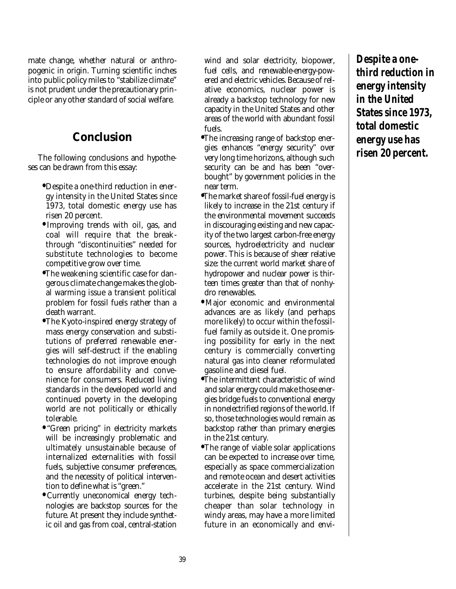mate change, whether natural or anthropogenic in origin. Turning scientific inches into public policy miles to "stabilize climate" is not prudent under the precautionary principle or any other standard of social welfare.

# **Conclusion**

The following conclusions and hypotheses can be drawn from this essay:

- **•** Despite a one-third reduction in energy intensity in the United States since 1973, total domestic energy use has risen 20 percent.
- **•** Improving trends with oil, gas, and coal will require that the breakthrough "discontinuities" needed for substitute technologies to become competitive grow over time.
- **•** The weakening scientific case for dangerous climate change makes the global warming issue a transient political problem for fossil fuels rather than a death warrant.
- **•** The Kyoto-inspired energy strategy of mass energy conservation and substitutions of preferred renewable energies will self-destruct if the enabling technologies do not improve enough to ensure affordability and convenience for consumers. Reduced living standards in the developed world and continued poverty in the developing world are not politically or ethically tolerable.
- **•** "Green pricing" in electricity markets will be increasingly problematic and ultimately unsustainable because of internalized externalities with fossil fuels, subjective consumer preferences, and the necessity of political intervention to define what is "green."
- **•** Currently uneconomical energy technologies are backstop sources for the future. At present they include synthetic oil and gas from coal, central-station

wind and solar electricity, biopower, fuel cells, and renewable-energy-powered and electric vehicles. Because of relative economics, nuclear power is already a backstop technology for new capacity in the United States and other areas of the world with abundant fossil  $f_{11}$ els.

- **•** The increasing range of backstop energies enhances "energy security" over very long time horizons, although such security can be and has been "overbought" by government policies in the near term.
- **•** The market share of fossil-fuel energy is likely to increase in the 21st century if the environmental movement succeeds in discouraging existing and new capacity of the two largest carbon-free energy sources, hydroelectricity and nuclear power. This is because of sheer relative size: the current world market share of hydropower and nuclear power is thirteen times greater than that of nonhydro renewables.
- **•** Major economic and environmental advances are as likely (and perhaps more likely) to occur within the fossilfuel family as outside it. One promising possibility for early in the next century is commercially converting natural gas into cleaner reformulated gasoline and diesel fuel.
- **•** The intermittent characteristic of wind and solar energy could make those energies bridge fuels to conventional energy in nonelectrified regions of the world. If so, those technologies would remain as backstop rather than primary energies in the 21st century.
- **•** The range of viable solar applications can be expected to increase over time, especially as space commercialization and remote ocean and desert activities accelerate in the 21st century. Wind turbines, despite being substantially cheaper than solar technology in windy areas, may have a more limited future in an economically and envi-

**Despite a onethird reduction in energy intensity in the United States since 1973, total domestic energy use has risen 20 percent.**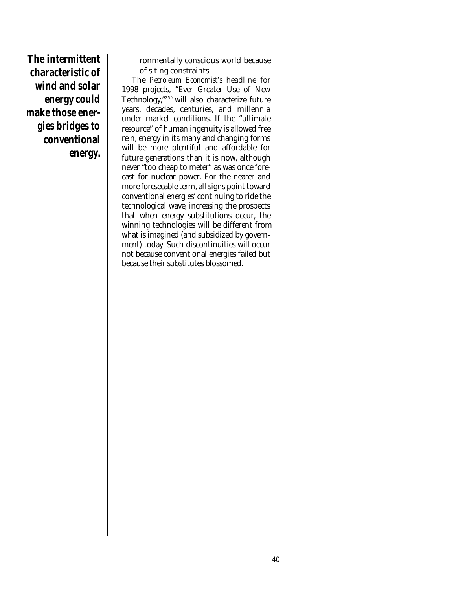**The intermittent characteristic of wind and solar energy could make those energies bridges to conventional energy.**

ronmentally conscious world because of siting constraints.

The *Petroleum Economist's* headline for 1998 projects, "Ever Greater Use of New Technology," <sup>250</sup> will also characterize future years, decades, centuries, and millennia under market conditions. If the "ultimate resource" of human ingenuity is allowed free rein, energy in its many and changing forms will be more plentiful and affordable for future generations than it is now, although never "too cheap to meter" as was once forecast for nuclear power. For the nearer and more foreseeable term, all signs point toward conventional energies' continuing to ride the technological wave, increasing the prospects that when energy substitutions occur, the winning technologies will be different from what is imagined (and subsidized by government) today. Such discontinuities will occur not because conventional energies failed but because their substitutes blossomed.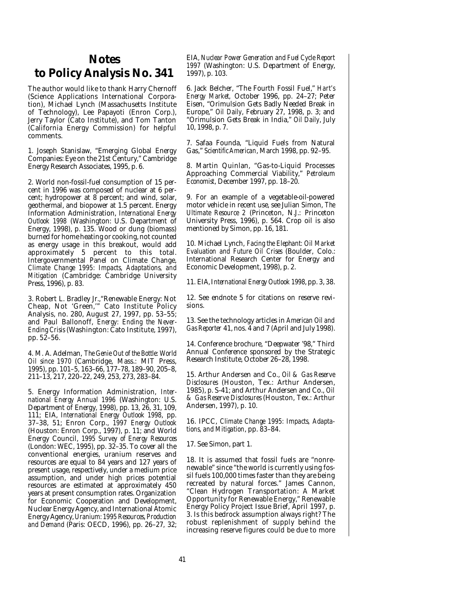# **Notes to Policy Analysis No. 341**

The author would like to thank Harry Chernoff (Science Applications International Corporation), Michael Lynch (Massachusetts Institute of Technology), Lee Papayoti (Enron Corp.), Jerry Taylor (Cato Institute), and Tom Tanton (California Energy Commission) for helpful comments.

1. Joseph Stanislaw, "Emerging Global Energy Companies: Eye on the 21st Century," Cambridge Energy Research Associates, 1995, p. 6.

2. World non-fossil-fuel consumption of 15 percent in 1996 was composed of nuclear at 6 percent; hydropower at 8 percent; and wind, solar, geothermal, and biopower at 1.5 percent. Energy Information Administration, *International Energy Outlook 1998* (Washington: U.S. Department of Energy, 1998), p. 135. Wood or dung (biomass) burned for home heating or cooking, not counted as energy usage in this breakout, would add approximately 5 percent to this total. Intergovernmental Panel on Climate Change, *Climate Change 1995: Impacts, Adaptations, and Mitigation* (Cambridge: Cambridge University Press, 1996), p. 83.

3. Robert L. Bradley Jr.,"Renewable Energy: Not Cheap, Not 'Green,'" Cato Institute Policy Analysis, no. 280, August 27, 1997, pp. 53–55; and Paul Ballonoff, *Energy: Ending the Never-Ending Crisis* (Washington: Cato Institute, 1997), pp. 52–56.

4. M. A. Adelman, *The Genie Out of the Bottle: World Oil since 1970* (Cambridge, Mass.: MIT Press, 1995), pp. 101–5, 163–66, 177–78, 189–90, 205–8, 211–13, 217, 220–22, 249, 253, 273, 283–84.

5. Energy Information Administration, *International Energy Annual 1996* (Washington: U.S. Department of Energy, 1998), pp. 13, 26, 31, 109, 111; EIA, *International Energy Outlook 1998*, pp. 37–38, 51; Enron Corp., *1997 Energy Outlook* (Houston: Enron Corp., 1997), p. 11; and World Energy Council, *1995 Survey of Energy Resources* (London: WEC, 1995), pp.  $32-35$ . To cover all the conventional energies, uranium reserves and resources are equal to 84 years and 127 years of present usage, respectively, under a medium price assumption, and under high prices potential resources are estimated at approximately 450 years at present consumption rates. Organization for Economic Cooperation and Development, Nuclear Energy Agency, and International Atomic Energy Agency,*Uranium: 1995 Resources, Production and Demand* (Paris: OECD, 1996), pp. 26–27, 32; EIA, *Nuclear Power Generation and Fuel Cycle Report 1997* (Washington: U.S. Department of Energy, 1997), p. 103.

6. Jack Belcher, "The Fourth Fossil Fuel," *Hart's Energy Market,* October 1996, pp. 24–27; Peter Eisen, "Orimulsion Gets Badly Needed Break in Europe," *Oil Daily*, February 27, 1998, p. 3; and "Orimulsion Gets Break in India," *Oil Daily*, July 10, 1998, p. 7.

7. Safaa Founda, "Liquid Fuels from Natural Gas," *Scientific American*, March 1998, pp. 92–95.

8. Martin Quinlan, "Gas-to-Liquid Processes Approaching Commercial Viability," *Petroleum Economist*, December 1997, pp. 18–20.

9. For an example of a vegetable-oil-powered motor vehicle in recent use, see Julian Simon, *The Ultimate Resource 2* (Princeton, N.J.: Princeton University Press, 1996), p. 564. Crop oil is also mentioned by Simon, pp. 16, 181.

10. Michael Lynch, *Facing the Elephant: Oil Market Evaluation and Future Oil Crises* (Boulder, Colo.: International Research Center for Energy and Economic Development, 1998), p. 2.

11. EIA, I*nternational Energy Outlook 1998*, pp. 3, 38.

12. See endnote 5 for citations on reserve revisions.

13. See the technology articles in *American Oil and Gas Reporter* 41, nos. 4 and 7 (April and July 1998).

14. Conference brochure, "Deepwater '98," Third Annual Conference sponsored by the Strategic Research Institute, October 26–28, 1998.

15. Arthur Andersen and Co., *Oil & Gas Reserve Disclosures* (Houston, Tex.: Arthur Andersen, 1985), p. S-41; and Arthur Andersen and Co., *Oil & Gas Reserve Disclosures* (Houston, Tex.: Arthur Andersen, 1997), p. 10.

16. IPCC, *Climate Change 1995: Impacts, Adaptations, and Mitigation*, pp. 83–84.

17. See Simon, part 1.

18. It is assumed that fossil fuels are "nonrenewable" since "the world is currently using fossil fuels 100,000 times faster than they are being recreated by natural forces." James Cannon, "Clean Hydrogen Transportation: A Market Opportunity for Renewable Energy," Renewable Energy Policy Project Issue Brief, April 1997, p. 3. Is this bedrock assumption always right? The robust replenishment of supply behind the increasing reserve figures could be due to more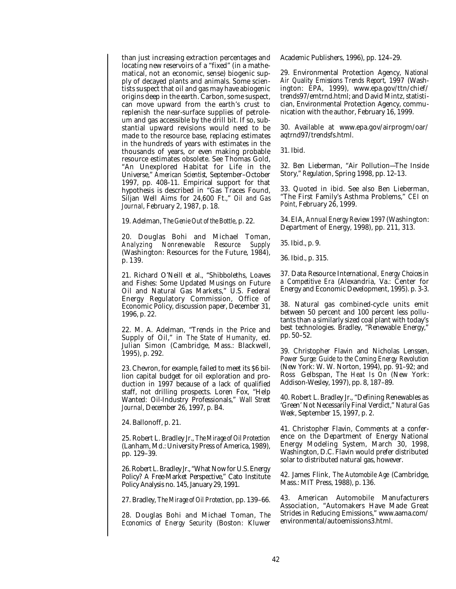than just increasing extraction percentages and locating new reservoirs of a "fixed" (in a mathematical, not an economic, sense) biogenic supply of decayed plants and animals. Some scientists suspect that oil and gas may have abiogenic origins deep in the earth. Carbon, some suspect, can move upward from the earth's crust to replenish the near-surface supplies of petroleum and gas accessible by the drill bit. If so, substantial upward revisions would need to be made to the resource base, replacing estimates in the hundreds of years with estimates in the thousands of years, or even making probable resource estimates obsolete. See Thomas Gold, "An Unexplored Habitat for Life in the Universe," *American Scientist*, September–October 1997, pp. 408–11. Empirical support for that hypothesis is described in "Gas Traces Found, Siljan Well Aims for 24,600 Ft.," *Oil and Gas Journal*, February 2, 1987, p. 18.

19. Adelman, *The Genie Out of the Bottle*, p. 22.

20. Douglas Bohi and Michael Toman, *Analyzing Nonrenewable Resource Supply* (Washington: Resources for the Future, 1984), p. 139.

21. Richard O'Neill et al., "Shibboleths, Loaves and Fishes: Some Updated Musings on Future Oil and Natural Gas Markets," U.S. Federal Energy Regulatory Commission, Office of Economic Policy, discussion paper, December 31, 1996, p. 22.

22. M. A. Adelman, "Trends in the Price and Supply of Oil," in *The State of Humanity*, ed. Julian Simon (Cambridge, Mass.: Blackwell, 1995), p. 292.

23. Chevron, for example, failed to meet its \$6 billion capital budget for oil exploration and production in 1997 because of a lack of qualified staff, not drilling prospects. Loren Fox, "Help Wanted: Oil-Industry Professionals," *Wall Street Journal*, December 26, 1997, p. B4.

24. Ballonoff, p. 21.

25. Robert L. Bradley Jr., *The Mirage of Oil Protection* (Lanham, Md.: University Press of America, 1989), pp. 129–39.

26. Robert L. Bradley Jr., "What Now for U.S. Energy Policy? A Free-Market Perspective," Cato Institute Policy Analysis no. 145, January 29, 1991.

27. Bradley, *The Mirage of Oil Protection,* pp. 139–66.

28. Douglas Bohi and Michael Toman, *The Economics of Energy Security* (Boston: Kluwer

Academic Publishers, 1996), pp. 124–29.

29. Environmental Protection Agency, *National Air Quality Emissions Trends Report*, 1997 (Washington: EPA, 1999), www.epa.gov/ttn/chief/ trends97/emtrnd.html; and David Mintz, statistician, Environmental Protection Agency, communication with the author, February 16, 1999.

30. Available at www.epa.gov/airprogm/oar/ aqtrnd97/trendsfs.html.

31. Ibid.

32. Ben Lieberman, "Air Pollution—The Inside Story," *Regulation*, Spring 1998, pp. 12–13.

33. Quoted in ibid. See also Ben Lieberman, "The First Family's Asthma Problems," *CEI on Point*, February 26, 1999.

34. EIA, *Annual Energy Review 1997* (Washington: Department of Energy, 1998), pp. 211, 313.

35. Ibid., p. 9.

36. Ibid., p. 315.

37. Data Resource International, *Energy Choices in a Competitive Era* (Alexandria, Va.: Center for Energy and Economic Development, 1995). p. 3-3.

38. Natural gas combined-cycle units emit between 50 percent and 100 percent less pollutants than a similarly sized coal plant with today's best technologies. Bradley, "Renewable Energy," pp. 50–52.

39. Christopher Flavin and Nicholas Lenssen, *Power Surge: Guide to the Coming Energy Revolution* (New York: W. W. Norton, 1994), pp. 91–92; and Ross Gelbspan, *The Heat Is On* (New York: Addison-Wesley, 1997), pp. 8, 187–89.

40. Robert L. Bradley Jr., "Defining Renewables as 'Green' Not Necessarily Final Verdict," *Natural Gas Week*, September 15, 1997, p. 2.

41. Christopher Flavin, Comments at a conference on the Department of Energy National Energy Modeling System, March 30, 1998, Washington, D.C. Flavin would prefer distributed solar to distributed natural gas, however.

42. James Flink, *The Automobile Age* (Cambridge, Mass.: MIT Press, 1988), p. 136.

43. American Automobile Manufacturers Association, "Automakers Have Made Great Strides in Reducing Emissions," www.aama.com/ environmental/autoemissions3.html.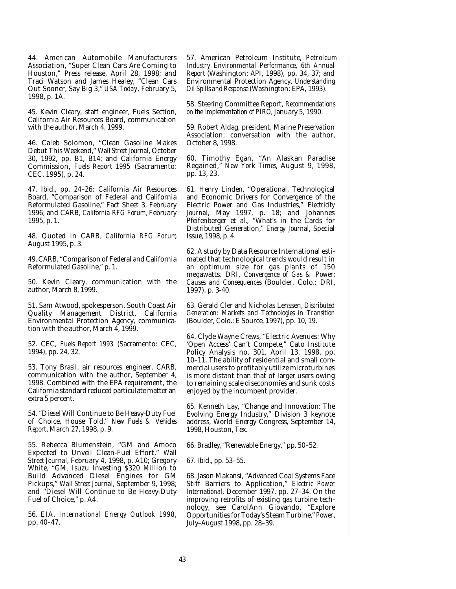44. American Automobile Manufacturers Association, "Super Clean Cars Are Coming to Houston," Press release, April 28, 1998; and Traci Watson and James Healey, "Clean Cars Out Sooner, Say Big 3," *USA Today*, February 5, 1998, p. 1A.

45. Kevin Cleary, staff engineer, Fuels Section, California Air Resources Board, communication with the author, March 4, 1999.

46. Caleb Solomon, "Clean Gasoline Makes Debut This Weekend," *Wall Street Journal*, October 30, 1992, pp. B1, B14; and California Energy Commission, *Fuels Report 1995* (Sacramento: CEC, 1995), p. 24.

47. Ibid., pp. 24–26; California Air Resources Board, "Comparison of Federal and California Reformulated Gasoline," Fact Sheet 3, February 1996; and CARB, *California RFG Forum*, February 1995, p. 1.

48. Quoted in CARB, *California RFG Forum*, August 1995, p. 3.

49. CARB, "Comparison of Federal and California Reformulated Gasoline," p. 1.

50. Kevin Cleary, communication with the author, March 8, 1999.

51. Sam Atwood, spokesperson, South Coast Air Quality Management District, California Environmental Protection Agency, communication with the author, March 4, 1999.

52. CEC, *Fuels Report 1993* (Sacramento: CEC, 1994), pp. 24, 32.

53. Tony Brasil, air resources engineer, CARB, communication with the author, September 4, 1998. Combined with the EPA requirement, the California standard reduced particulate matter an extra 5 percent.

54. "Diesel Will Continue to Be Heavy-Duty Fuel of Choice, House Told," *New Fuels & Vehicles Report*, March 27, 1998, p. 9.

55. Rebecca Blumenstein, "GM and Amoco Expected to Unveil Clean-Fuel Effort," *Wall Street Journal*, February 4, 1998, p. A10; Gregory White, "GM, Isuzu Investing \$320 Million to Build Advanced Diesel Engines for GM Pickups," *Wall Street Journal*, September 9, 1998; and "Diesel Will Continue to Be Heavy-Duty Fuel of Choice," p. A4.

56. EIA, *International Energy Outlook 1998*, pp. 40–47.

57. American Petroleum Institute, *Petroleum Industry Environmental Performance*, *6th Annual Report* (Washington: API, 1998), pp. 34, 37; and Environmental Protection Agency, *Understanding Oil Spills and Response* (Washington: EPA, 1993).

58. Steering Committee Report, *Recommendations on the Implementation of PIRO*, January 5, 1990.

59. Robert Aldag, president, Marine Preservation Association, conversation with the author, October 8, 1998.

60. Timothy Egan, "An Alaskan Paradise Regained," *New York Times*, August 9, 1998, pp. 13, 23.

61. Henry Linden, "Operational, Technological and Economic Drivers for Convergence of the Electric Power and Gas Industries," *Electricity Journal*, May 1997, p. 18; and Johannes Pfeifenberger et al., "What's in the Cards for Distributed Generation," *Energy Journal*, Special Issue, 1998, p. 4.

62. A study by Data Resource International estimated that technological trends would result in an optimum size for gas plants of 150 megawatts. DRI, *Convergence of Gas & Power: Causes and Consequences* (Boulder, Colo.: DRI, 1997), p. 3-40.

63. Gerald Cler and Nicholas Lenssen, *Distributed Generation: Markets and Technologies in Transition* (Boulder, Colo.: E Source, 1997), pp. 10, 19.

64. Clyde Wayne Crews, "Electric Avenues: Why 'Open Access' Can't Compete," Cato Institute Policy Analysis no. 301, April 13, 1998, pp. 10–11. The ability of residential and small commercial users to profitably utilize microturbines is more distant than that of larger users owing to remaining scale diseconomies and sunk costs enjoyed by the incumbent provider.

65. Kenneth Lay, "Change and Innovation: The Evolving Energy Industry," Division 3 keynote address, World Energy Congress, September 14, 1998, Houston, Tex.

66. Bradley, "Renewable Energy," pp. 50–52.

67. Ibid., pp. 53–55.

68. Jason Makansi, "Advanced Coal Systems Face Stiff Barriers to Application," *Electric Power International*, December 1997, pp. 27–34. On the improving retrofits of existing gas turbine technology, see CarolAnn Giovando, "Explore Opportunities for Today's Steam Turbine," *Power*, July–August 1998, pp. 28–39.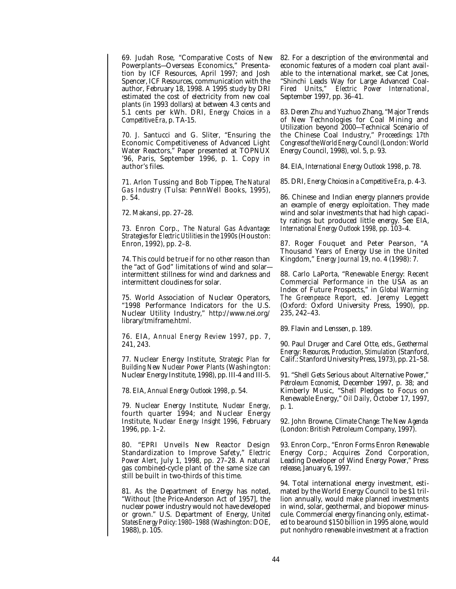69. Judah Rose, "Comparative Costs of New Powerplants—Overseas Economics," Presentation by ICF Resources, April 1997; and Josh Spencer, ICF Resources, communication with the author, February 18, 1998. A 1995 study by DRI estimated the cost of electricity from new coal plants (in 1993 dollars) at between 4.3 cents and 5.1 cents per kWh. DRI, *Energy Choices in a Competitive Era*, p. TA-15.

70. J. Santucci and G. Sliter, "Ensuring the Economic Competitiveness of Advanced Light Water Reactors," Paper presented at TOPNUX '96, Paris, September 1996, p. 1. Copy in author's files.

71. Arlon Tussing and Bob Tippee, *The Natural Gas Industry* (Tulsa: PennWell Books, 1995), p. 54.

72. Makansi, pp. 27–28.

73. Enron Corp., *The Natural Gas Advantage: Strategies for Electric Utilities in the 1990s* (Houston: Enron, 1992), pp. 2–8.

74. This could be true if for no other reason than the "act of God" limitations of wind and solar intermittent stillness for wind and darkness and intermittent cloudiness for solar.

75. World Association of Nuclear Operators, "1998 Performance Indicators for the U.S. Nuclear Utility Industry," http://www.nei.org/ library/tmiframe.html.

76. EIA, *Annual Energy Review 1997*, pp. 7, 241, 243.

77. Nuclear Energy Institute, *Strategic Plan for Building New Nuclear Power Plants* (Washington: Nuclear Energy Institute, 1998), pp. III-4 and III-5.

78. EIA, *Annual Energy Outlook 1998*, p. 54.

79. Nuclear Energy Institute, *Nuclear Energy,* fourth quarter 1994; and Nuclear Energy Institute, *Nuclear Energy Insight 1996*, February 1996, pp. 1–2.

80. "EPRI Unveils New Reactor Design Standardization to Improve Safety," *Electric Power Alert*, July 1, 1998, pp. 27–28. A natural gas combined-cycle plant of the same size can still be built in two-thirds of this time.

81. As the Department of Energy has noted, "Without [the Price-Anderson Act of 1957], the nuclear power industry would not have developed or grown." U.S. Department of Energy, *United States Energy Policy: 1980–1988* (Washington: DOE, 1988), p. 105.

82. For a description of the environmental and economic features of a modern coal plant available to the international market, see Cat Jones, "Shinchi Leads Way for Large Advanced Coal-Fired Units," *Electric Power International*, September 1997, pp. 36–41.

83. Deren Zhu and Yuzhuo Zhang, "Major Trends of New Technologies for Coal Mining and Utilization beyond 2000—Technical Scenario of the Chinese Coal Industry," *Proceedings: 17th Congress of the World Energy Council*(London: World Energy Council, 1998), vol. 5, p. 93.

84. EIA, *International Energy Outlook 1998*, p. 78.

85. DRI, *Energy Choices in a Competitive Era*, p. 4-3.

86. Chinese and Indian energy planners provide an example of energy exploitation. They made wind and solar investments that had high capacity ratings but produced little energy. See EIA, *International Energy Outlook 1998,* pp. 103–4.

87. Roger Fouquet and Peter Pearson, "A Thousand Years of Energy Use in the United Kingdom," *Energy Journal* 19, no. 4 (1998): 7.

88. Carlo LaPorta, "Renewable Energy: Recent Commercial Performance in the USA as an Index of Future Prospects," in *Global Warming: The Greenpeace Report*, ed. Jeremy Leggett (Oxford: Oxford University Press, 1990), pp. 235, 242–43.

89. Flavin and Lenssen, p. 189.

90. Paul Druger and Carel Otte, eds., *Geothermal Energy: Resources, Production, Stimulation* (Stanford, Calif.: Stanford University Press, 1973), pp. 21–58.

91. "Shell Gets Serious about Alternative Power," *Petroleum Economist*, December 1997, p. 38; and Kimberly Music, "Shell Pledges to Focus on Renewable Energy," *Oil Daily*, October 17, 1997, p. 1.

92. John Browne, *Climate Change: The New Agenda* (London: British Petroleum Company, 1997).

93. Enron Corp., "Enron Forms Enron Renewable Energy Corp.; Acquires Zond Corporation, Leading Developer of Wind Energy Power," Press release, January 6, 1997.

94. Total international energy investment, estimated by the World Energy Council to be \$1 trillion annually, would make planned investments in wind, solar, geothermal, and biopower minuscule. Commercial energy financing only, estimated to be around \$150 billion in 1995 alone, would put nonhydro renewable investment at a fraction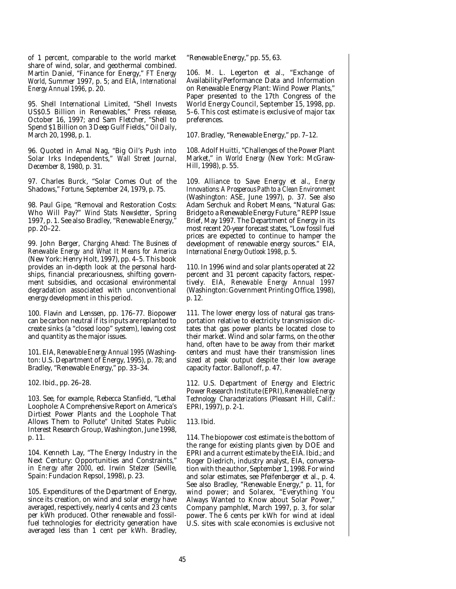of 1 percent, comparable to the world market share of wind, solar, and geothermal combined. Martin Daniel, "Finance for Energy," *FT Energy World*, Summer 1997, p. 5; and EIA, *International Energy Annual 1996*, p. 20.

95. Shell International Limited, "Shell Invests US\$0.5 Billion in Renewables," Press release, October 16, 1997; and Sam Fletcher, "Shell to Spend \$1 Billion on 3 Deep Gulf Fields," *Oil Daily*, March 20, 1998, p. 1.

96. Quoted in Amal Nag, "Big Oil's Push into Solar Irks Independents," *Wall Street Journal,* December 8, 1980, p. 31.

97. Charles Burck, "Solar Comes Out of the Shadows," *Fortune,* September 24, 1979, p. 75.

98. Paul Gipe, "Removal and Restoration Costs: Who Will Pay?" *Wind Stats Newsletter*, Spring 1997, p. 1. See also Bradley, "Renewable Energy," pp. 20–22.

99. John Berger, *Charging Ahead: The Business of Renewable Energy and What It Means for America* (New York: Henry Holt, 1997), pp. 4–5. This book provides an in-depth look at the personal hardships, financial precariousness, shifting government subsidies, and occasional environmental degradation associated with unconventional energy development in this period.

100. Flavin and Lenssen, pp. 176–77. Biopower can be carbon neutral if its inputs are replanted to create sinks (a "closed loop" system), leaving cost and quantity as the major issues.

101. EIA, *Renewable Energy Annual 1995* (Washington: U.S. Department of Energy, 1995), p. 78; and Bradley, "Renewable Energy," pp. 33–34.

102. Ibid., pp. 26–28.

103. See, for example, Rebecca Stanfield, "Lethal Loophole: A Comprehensive Report on America's Dirtiest Power Plants and the Loophole That Allows Them to Pollute" United States Public Interest Research Group, Washington, June 1998, p. 11.

104. Kenneth Lay, "The Energy Industry in the Next Century: Opportunities and Constraints," in *Energy after 2000*, ed. Irwin Stelzer (Seville, Spain: Fundacion Repsol, 1998), p. 23.

105. Expenditures of the Department of Energy, since its creation, on wind and solar energy have averaged, respectively, nearly 4 cents and 23 cents per kWh produced. Other renewable and fossilfuel technologies for electricity generation have averaged less than 1 cent per kWh. Bradley,

"Renewable Energy," pp. 55, 63.

106. M. L. Legerton et al., "Exchange of Availability/Performance Data and Information on Renewable Energy Plant: Wind Power Plants," Paper presented to the 17th Congress of the World Energy Council, September 15, 1998, pp. 5–6. This cost estimate is exclusive of major tax preferences.

107. Bradley, "Renewable Energy," pp. 7–12.

108. Adolf Huitti, "Challenges of the Power Plant Market," in *World Energy* (New York: McGraw-Hill, 1998), p. 55.

109. Alliance to Save Energy et al., *Energy Innovations: A Prosperous Path to a Clean Environment* (Washington: ASE, June 1997), p. 37. See also Adam Serchuk and Robert Means, "Natural Gas: Bridge to a Renewable Energy Future," REPP Issue Brief, May 1997. The Department of Energy in its most recent 20-year forecast states, "Low fossil fuel prices are expected to continue to hamper the development of renewable energy sources." EIA, *International Energy Outlook 1998*, p. 5.

110. In 1996 wind and solar plants operated at 22 percent and 31 percent capacity factors, respectively. EIA, *Renewable Energy Annual 1997* (Washington: Government Printing Office, 1998), p. 12.

111. The lower energy loss of natural gas transportation relative to electricity transmission dictates that gas power plants be located close to their market. Wind and solar farms, on the other hand, often have to be away from their market centers and must have their transmission lines sized at peak output despite their low average capacity factor. Ballonoff, p. 47.

112. U.S. Department of Energy and Electric Power Research Institute (EPRI),*Renewable Energy Technology Characterizations* (Pleasant Hill, Calif.: EPRI, 1997), p. 2-1.

113. Ibid.

114. The biopower cost estimate is the bottom of the range for existing plants given by DOE and EPRI and a current estimate by the EIA. Ibid.; and Roger Diedrich, industry analyst, EIA, conversation with the author, September 1, 1998. For wind and solar estimates, see Pfeifenberger et al., p. 4. See also Bradley, "Renewable Energy," p. 11, for wind power; and Solarex, "Everything You Always Wanted to Know about Solar Power," Company pamphlet, March 1997, p. 3, for solar power. The 6 cents per kWh for wind at ideal U.S. sites with scale economies is exclusive not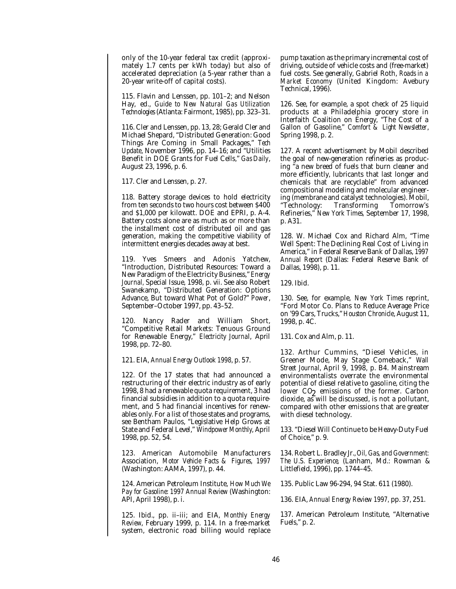only of the 10-year federal tax credit (approximately 1.7 cents per kWh today) but also of accelerated depreciation (a 5-year rather than a 20-year write-off of capital costs).

115. Flavin and Lenssen, pp. 101–2; and Nelson Hay, ed., *Guide to New Natural Gas Utilization Technologies* (Atlanta: Fairmont, 1985), pp. 323–31.

116. Cler and Lenssen, pp. 13, 28; Gerald Cler and Michael Shepard, "Distributed Generation: Good Things Are Coming in Small Packages," *Tech Update*, November 1996, pp. 14–16; and "Utilities Benefit in DOE Grants for Fuel Cells," *Gas Daily*, August 23, 1996, p. 6.

117. Cler and Lenssen, p. 27.

118. Battery storage devices to hold electricity from ten seconds to two hours cost between \$400 and \$1,000 per kilowatt. DOE and EPRI, p. A-4. Battery costs alone are as much as or more than the installment cost of distributed oil and gas generation, making the competitive viability of intermittent energies decades away at best.

119. Yves Smeers and Adonis Yatchew, "Introduction, Distributed Resources: Toward a New Paradigm of the Electricity Business," *Energy Journal,* Special Issue, 1998, p. vii. See also Robert Swanekamp, "Distributed Generation: Options Advance, But toward What Pot of Gold?" *Power*, September–October 1997, pp. 43–52.

120. Nancy Rader and William Short, "Competitive Retail Markets: Tenuous Ground for Renewable Energy," *Electricity Journa*l, April 1998, pp. 72–80.

121. EIA, *Annual Energy Outlook 1998*, p. 57.

122. Of the 17 states that had announced a restructuring of their electric industry as of early 1998, 8 had a renewable quota requirement, 3 had financial subsidies in addition to a quota requirement, and 5 had financial incentives for renewables only. For a list of those states and programs, see Bentham Paulos, "Legislative Help Grows at State and Federal Level," *Windpower Monthly*, April 1998, pp. 52, 54.

123. American Automobile Manufacturers Association, *Motor Vehicle Facts & Figures*, *1997* (Washington: AAMA, 1997), p. 44.

124. American Petroleum Institute, *How Much We Pay for Gasoline: 1997 Annual Review* (Washington: API, April 1998), p. i.

125. Ibid., pp. ii–iii; and EIA, *Monthly Energy Review*, February 1999, p. 114. In a free-market system, electronic road billing would replace

pump taxation as the primary incremental cost of driving, outside of vehicle costs and (free-market) fuel costs. See generally, Gabriel Roth, *Roads in a Market Economy* (United Kingdom: Avebury Technical, 1996).

126. See, for example, a spot check of 25 liquid products at a Philadelphia grocery store in Interfaith Coalition on Energy, "The Cost of a Gallon of Gasoline," *Comfort & Light Newsletter*, Spring 1998, p. 2.

127. A recent advertisement by Mobil described the goal of new-generation refineries as producing "a new breed of fuels that burn cleaner and more efficiently, lubricants that last longer and chemicals that are recyclable" from advanced compositional modeling and molecular engineering (membrane and catalyst technologies). Mobil, "Technology: Transforming Tomorrow's Refineries," *New York Times,* September 17, 1998, p. A31.

128. W. Michael Cox and Richard Alm, "Time Well Spent: The Declining Real Cost of Living in America," in Federal Reserve Bank of Dallas, *1997 Annual Report* (Dallas: Federal Reserve Bank of Dallas, 1998), p. 11.

129. Ibid.

130. See, for example, *New York Times* reprint, "Ford Motor Co. Plans to Reduce Average Price on '99 Cars, Trucks,"*Houston Chronicle*, August 11, 1998, p. 4C.

131. Cox and Alm, p. 11.

132. Arthur Cummins, "Diesel Vehicles, in Greener Mode, May Stage Comeback," *Wall Street Journal*, April 9, 1998, p. B4. Mainstream environmentalists overrate the environmental potential of diesel relative to gasoline, citing the lower CO<sub>2</sub> emissions of the former. Carbon<br>dioxide equill be discussed is not a pollutant. dioxide, as will be discussed, is not a pollutant, compared with other emissions that are greater with diesel technology.

133. "Diesel Will Continue to be Heavy-Duty Fuel of Choice," p. 9.

134. Robert L. Bradley Jr.,*Oil, Gas, and Government: The U.S. Experience*, (Lanham, Md.: Rowman & Littlefield, 1996), pp. 1744–45.

135. Public Law 96-294, 94 Stat. 611 (1980).

136. EIA, *Annual Energy Review 1997,* pp. 37, 251.

137. American Petroleum Institute, "Alternative Fuels," p. 2.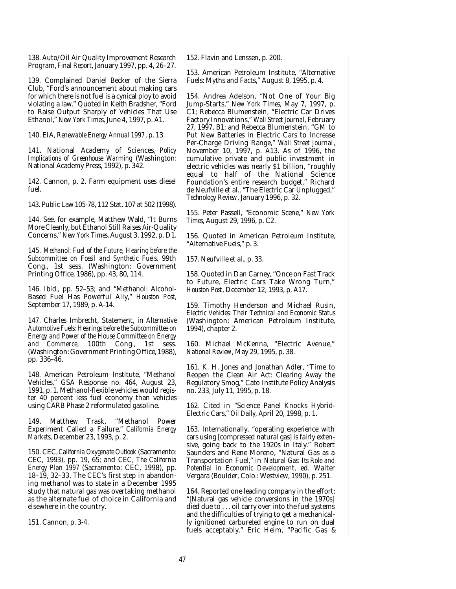138. Auto/Oil Air Quality Improvement Research Program, *Final Report*, January 1997, pp. 4, 26–27.

139. Complained Daniel Becker of the Sierra Club, "Ford's announcement about making cars for which there is not fuel is a cynical ploy to avoid violating a law." Quoted in Keith Bradsher, "Ford to Raise Output Sharply of Vehicles That Use Ethanol," *New York Times*, June 4, 1997, p. A1.

140. EIA, *Renewable Energy Annual 1997*, p. 13.

141. National Academy of Sciences, *Policy Implications of Greenhouse Warming* (Washington: National Academy Press, 1992), p. 342.

142. Cannon, p. 2. Farm equipment uses diesel fuel.

143. Public Law 105-78, 112 Stat. 107 at 502 (1998).

144. See, for example, Matthew Wald, "It Burns More Cleanly, but Ethanol Still Raises Air-Quality Concerns," *New York Times*, August 3, 1992, p. D1.

145. *Methanol: Fuel of the Future, Hearing before the Subcommittee on Fossil and Synthetic Fuels*, 99th Cong., 1st sess. (Washington: Government Printing Office, 1986), pp. 43, 80, 114.

146. Ibid., pp. 52–53; and "Methanol: Alcohol-Based Fuel Has Powerful Ally," *Houston Post*, September 17, 1989, p. A-14.

147. Charles Imbrecht, Statement, in *Alternative Automotive Fuels: Hearings before the Subcommittee on Energy and Power of the House Committee on Energy and Commerce*, 100th Cong., 1st sess. (Washington: Government Printing Office, 1988), pp. 336–46.

148. American Petroleum Institute, "Methanol Vehicles," GSA Response no. 464, August 23, 1991, p. 1. Methanol-flexible vehicles would register 40 percent less fuel economy than vehicles using CARB Phase 2 reformulated gasoline.

149. Matthew Trask, "Methanol Power Experiment Called a Failure," *California Energy Markets*, December 23, 1993, p. 2.

150. CEC, *California Oxygenate Outlook* (Sacramento: CEC, 1993), pp. 19, 65; and CEC, *The California Energy Plan 1997* (Sacramento: CEC, 1998), pp. 18–19, 32–33. The CEC's first step in abandoning methanol was to state in a December 1995 study that natural gas was overtaking methanol as the alternate fuel of choice in California and elsewhere in the country.

151. Cannon, p. 3-4.

152. Flavin and Lenssen, p. 200.

153. American Petroleum Institute, "Alternative Fuels: Myths and Facts," August 8, 1995, p. 4.

154. Andrea Adelson, "Not One of Your Big Jump-Starts," *New York Times*, May 7, 1997, p. C1; Rebecca Blumenstein, "Electric Car Drives Factory Innovations," *Wall Street Journal*, February 27, 1997, B1; and Rebecca Blumenstein, "GM to Put New Batteries in Electric Cars to Increase Per-Charge Driving Range," *Wall Street Journal*, November 10, 1997, p. A13. As of 1996, the cumulative private and public investment in electric vehicles was nearly \$1 billion, "roughly equal to half of the National Science Foundation's entire research budget." Richard de Neufville et al., "The Electric Car Unplugged," *Technology Review*, January 1996, p. 32.

155. Peter Passell, "Economic Scene," *New York Times*, August 29, 1996, p. C2.

156. Quoted in American Petroleum Institute, "Alternative Fuels," p. 3.

157. Neufville et al., p. 33.

158. Quoted in Dan Carney, "Once on Fast Track to Future, Electric Cars Take Wrong Turn," *Houston Post*, December 12, 1993, p. A17.

159. Timothy Henderson and Michael Rusin, *Electric Vehicles: Their Technical and Economic Status* (Washington: American Petroleum Institute, 1994), chapter 2.

160. Michael McKenna, "Electric Avenue," *National Review*, May 29, 1995, p. 38.

161. K. H. Jones and Jonathan Adler, "Time to Reopen the Clean Air Act: Clearing Away the Regulatory Smog," Cato Institute Policy Analysis no. 233, July 11, 1995, p. 18.

162. Cited in "Science Panel Knocks Hybrid-Electric Cars," *Oil Daily*, April 20, 1998, p. 1.

163. Internationally, "operating experience with cars using [compressed natural gas] is fairly extensive, going back to the 1920s in Italy." Robert Saunders and Rene Moreno, "Natural Gas as a Transportation Fuel," in *Natural Gas: Its Role and Potential in Economic Development*, ed. Walter Vergara (Boulder, Colo.: Westview, 1990), p. 251.

164. Reported one leading company in the effort: "[Natural gas vehicle conversions in the 1970s] died due to . . . oil carry over into the fuel systems and the difficulties of trying to get a mechanically ignitioned carbureted engine to run on dual fuels acceptably." Eric Heim, "Pacific Gas &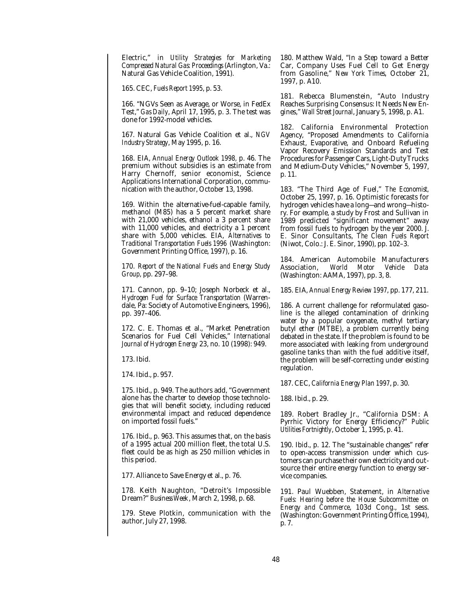Electric," in *Utility Strategies for Marketing Compressed Natural Gas: Proceedings* (Arlington, Va.: Natural Gas Vehicle Coalition, 1991).

165. CEC, *Fuels Report 1995*, p. 53.

166. "NGVs Seen as Average, or Worse, in FedEx Test," *Gas Daily*, April 17, 1995, p. 3. The test was done for 1992-model vehicles.

167. Natural Gas Vehicle Coalition et al., *NGV Industry Strategy*, May 1995, p. 16.

168. EIA, *Annual Energy Outlook 1998,* p. 46. The premium without subsidies is an estimate from Harry Chernoff, senior economist, Science Applications International Corporation, communication with the author, October 13, 1998.

169. Within the alternative-fuel-capable family, methanol (M85) has a 5 percent market share with 21,000 vehicles, ethanol a 3 percent share with 11,000 vehicles, and electricity a 1 percent share with 5,000 vehicles. EIA, *Alternatives to Traditional Transportation Fuels 1996* (Washington: Government Printing Office, 1997), p. 16.

170. *Report of the National Fuels and Energy Study Group*, pp. 297–98.

171. Cannon, pp. 9–10; Joseph Norbeck et al., *Hydrogen Fuel for Surface Transportation* (Warrendale, Pa: Society of Automotive Engineers, 1996), pp. 397–406.

172. C. E. Thomas et al., "Market Penetration Scenarios for Fuel Cell Vehicles," *International Journal of Hydrogen Energy* 23, no. 10 (1998): 949.

173. Ibid.

174. Ibid., p. 957.

175. Ibid., p. 949. The authors add, "Government alone has the charter to develop those technologies that will benefit society, including reduced environmental impact and reduced dependence on imported fossil fuels."

176. Ibid., p. 963. This assumes that, on the basis of a 1995 actual 200 million fleet, the total U.S. fleet could be as high as 250 million vehicles in this period.

177. Alliance to Save Energy et al., p. 76.

178. Keith Naughton, "Detroit's Impossible Dream?" *Business Week*, March 2, 1998, p. 68.

179. Steve Plotkin, communication with the author, July 27, 1998.

180. Matthew Wald, "In a Step toward a Better Car, Company Uses Fuel Cell to Get Energy from Gasoline," *New York Times*, October 21, 1997, p. A10.

181. Rebecca Blumenstein, "Auto Industry Reaches Surprising Consensus: It Needs New Engines," *Wall Street Journal*, January 5, 1998, p. A1.

182. California Environmental Protection Agency, "Proposed Amendments to California Exhaust, Evaporative, and Onboard Refueling Vapor Recovery Emission Standards and Test Procedures for Passenger Cars, Light-Duty Trucks and Medium-Duty Vehicles," November 5, 1997, p. 11.

183. "The Third Age of Fuel," *The Economist,* October 25, 1997, p. 16. Optimistic forecasts for hydrogen vehicles have a long—and wrong—history. For example, a study by Frost and Sullivan in 1989 predicted "significant movement" away from fossil fuels to hydrogen by the year 2000. J. E. Sinor Consultants, *The Clean Fuels Report* (Niwot, Colo.: J. E. Sinor, 1990), pp. 102–3.

184. American Automobile Manufacturers<br>Association. World Motor Vehicle Data Association, *World Motor Vehicle Data* (Washington: AAMA, 1997), pp. 3, 8.

185. EIA, *Annual Energy Review 1997*, pp. 177, 211.

186. A current challenge for reformulated gasoline is the alleged contamination of drinking water by a popular oxygenate, methyl tertiary butyl ether (MTBE), a problem currently being debated in the state. If the problem is found to be more associated with leaking from underground gasoline tanks than with the fuel additive itself, the problem will be self-correcting under existing regulation.

187. CEC, *California Energy Plan 1997*, p. 30.

188. Ibid., p. 29.

189. Robert Bradley Jr., "California DSM: A Pyrrhic Victory for Energy Efficiency?" *Public Utilities Fortnightly*, October 1, 1995, p. 41.

190. Ibid., p. 12. The "sustainable changes" refer to open-access transmission under which customers can purchase their own electricity and outsource their entire energy function to energy service companies.

191. Paul Wuebben, Statement, in *Alternative Fuels: Hearing before the House Subcommittee on Energy and Commerce*, 103d Cong., 1st sess. (Washington: Government Printing Office, 1994), p. 7.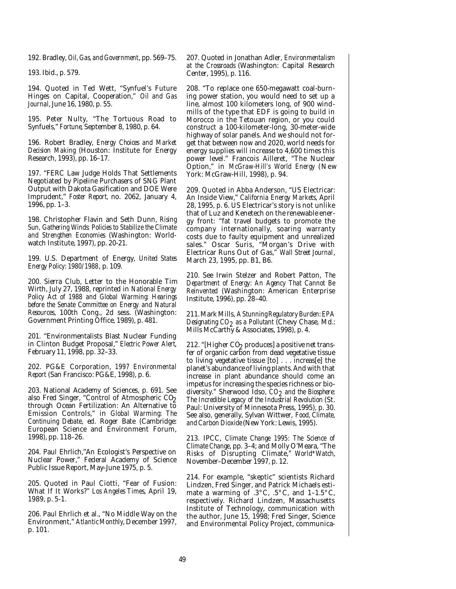192. Bradley, *Oil, Gas, and Government*, pp. 569–75.

193. Ibid., p. 579.

194. Quoted in Ted Wett, "Synfuel's Future Hinges on Capital, Cooperation," *Oil and Gas Journal*, June 16, 1980, p. 55.

195. Peter Nulty, "The Tortuous Road to Synfuels," *Fortune*, September 8, 1980, p. 64.

196. Robert Bradley, *Energy Choices and Market Decision Making* (Houston: Institute for Energy Research, 1993), pp. 16–17.

197. "FERC Law Judge Holds That Settlements Negotiated by Pipeline Purchasers of SNG Plant Output with Dakota Gasification and DOE Were Imprudent," *Foster Report,* no. 2062, January 4, 1996, pp. 1–3.

198. Christopher Flavin and Seth Dunn, *Rising Sun, Gathering Winds: Policies to Stabilize the Climate and Strengthen Economies* (Washington: Worldwatch Institute, 1997), pp. 20-21.

199. U.S. Department of Energy, *United States Energy Policy: 1980/1988*, p. 109.

200. Sierra Club, Letter to the Honorable Tim Wirth, July 27, 1988, reprinted in *National Energy Policy Act of 1988 and Global Warming: Hearings before the Senate Committee on Energy and Natural Resources*, 100th Cong., 2d sess. (Washington: Government Printing Office, 1989), p. 481.

201. "Environmentalists Blast Nuclear Funding in Clinton Budget Proposal," *Electric Power Alert*, February 11, 1998, pp. 32–33.

202. PG&E Corporation, *1997 Environmental Report* (San Francisco: PG&E, 1998), p. 6.

203. National Academy of Sciences, p. 691. See also Fred Singer, "Control of Atmospheric CO<sub>2</sub> through Ocean Fertilization: An Alternative to Emission Controls," in *Global Warming: The Continuing Debate*, ed. Roger Bate (Cambridge: European Science and Environment Forum, 1998), pp. 118–26.

204. Paul Ehrlich,"An Ecologist's Perspective on Nuclear Power," Federal Academy of Science Public Issue Report, May–June 1975, p. 5.

205. Quoted in Paul Ciotti, "Fear of Fusion: What If It Works?" *Los Angeles Times*, April 19, 1989, p. 5-1.

206. Paul Ehrlich et al., "No Middle Way on the Environment," *Atlantic Monthly*, December 1997, p. 101.

207. Quoted in Jonathan Adler, *Environmentalism at the Crossroads* (Washington: Capital Research Center, 1995), p. 116.

208. "To replace one 650-megawatt coal-burning power station, you would need to set up a line, almost 100 kilometers long, of 900 windmills of the type that EDF is going to build in Morocco in the Tetouan region, or you could construct a 100-kilometer-long, 30-meter-wide highway of solar panels. And we should not forget that between now and 2020, world needs for energy supplies will increase to 4,600 times this power level." Francois Ailleret, "The Nuclear Option," in *McGraw-Hill's World Energy* (New York: McGraw-Hill, 1998), p. 94.

209. Quoted in Abba Anderson, "US Electricar: An Inside View," *California Energy Markets*, April 28, 1995, p. 6. US Electricar's story is not unlike that of Luz and Kenetech on the renewable energy front: "fat travel budgets to promote the company internationally, soaring warranty costs due to faulty equipment and unrealized sales." Oscar Suris, "Morgan's Drive with Electricar Runs Out of Gas," *Wall Street Journal*, March 23, 1995, pp. B1, B6.

210. See Irwin Stelzer and Robert Patton, *The Department of Energy: An Agency That Cannot Be Reinvented* (Washington: American Enterprise Institute, 1996), pp. 28–40.

211. Mark Mills, *A Stunning Regulatory Burden: EPA Designating CO2 as a Pollutant* (Chevy Chase, Md.: Mills McCarthy & Associates, 1998), p. 4.

212. "[Higher CO2 produces] a positive net transfer of organic carbon from dead vegetative tissue to living vegetative tissue [to] . . . increas[e] the planet's abundance of living plants. And with that increase in plant abundance should come an impetus for increasing the species richness or biodiversity." Sherwood Idso, *CO2 and the Biosphere: The Incredible Legacy of the Industrial Revolution* (St. Paul: University of Minnesota Press, 1995), p. 30. See also, generally, Sylvan Wittwer, *Food, Climate, and Carbon Dioxide*(New York: Lewis, 1995).

213. IPCC, *Climate Change 1995: The Science of Climate Change*, pp. 3–4; and Molly O'Meara, "The Risks of Disrupting Climate," *World\*Watch*, November–December 1997, p. 12.

214. For example, "skeptic" scientists Richard Lindzen, Fred Singer, and Patrick Michaels estimate a warming of  $.3^{\circ}$ C,  $.5^{\circ}$ C, and 1-1.5 $^{\circ}$ C, respectively. Richard Lindzen, Massachusetts Institute of Technology, communication with the author, June 15, 1998; Fred Singer, Science and Environmental Policy Project, communica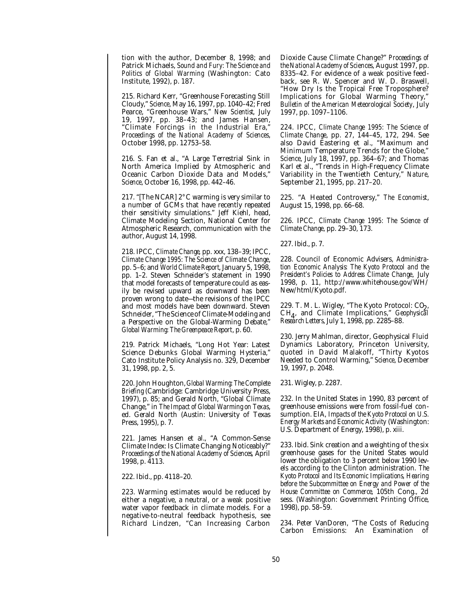tion with the author, December 8, 1998; and Patrick Michaels, *Sound and Fury: The Science and Politics of Global Warming* (Washington: Cato Institute, 1992), p. 187.

215. Richard Kerr, "Greenhouse Forecasting Still Cloudy," *Science*, May 16, 1997, pp. 1040–42; Fred Pearce, "Greenhouse Wars," *New Scientist*, July 19, 1997, pp. 38–43; and James Hansen, "Climate Forcings in the Industrial Era," *Proceedings of the National Academy of Sciences*, October 1998, pp. 12753–58.

216. S. Fan et al., "A Large Terrestrial Sink in North America Implied by Atmospheric and Oceanic Carbon Dioxide Data and Models," *Science*, October 16, 1998, pp. 442–46.

217. "[The NCAR] 2°C warming is very similar to a number of GCMs that have recently repeated their sensitivity simulations." Jeff Kiehl, head, Climate Modeling Section, National Center for Atmospheric Research, communication with the author, August 14, 1998.

218. IPCC, *Climate Change*, pp. xxx, 138–39; IPCC, *Climate Change 1995: The Science of Climate Change*, pp. 5–6; and *World Climate Report*, January 5, 1998, pp. 1–2. Steven Schneider's statement in 1990 that model forecasts of temperature could as easily be revised upward as downward has been proven wrong to date—the revisions of the IPCC and most models have been downward. Steven Schneider, "The Science of Climate-Modeling and a Perspective on the Global-Warming Debate," *Global Warming: The Greenpeace Report*, p. 60.

219. Patrick Michaels, "Long Hot Year: Latest Science Debunks Global Warming Hysteria," Cato Institute Policy Analysis no. 329, December 31, 1998, pp. 2, 5.

220. John Houghton,*Global Warming: The Complete Briefing* (Cambridge: Cambridge University Press, 1997), p. 85; and Gerald North, "Global Climate Change," in *The Impact of Global Warming on Texas*, ed. Gerald North (Austin: University of Texas Press, 1995), p. 7.

221. James Hansen et al., "A Common-Sense Climate Index: Is Climate Changing Noticeably?" *Proceedings of the National Academy of Sciences*, April 1998, p. 4113.

222. Ibid., pp. 4118–20.

223. Warming estimates would be reduced by either a negative, a neutral, or a weak positive water vapor feedback in climate models. For a negative-to-neutral feedback hypothesis, see Richard Lindzen, "Can Increasing Carbon Dioxide Cause Climate Change?" *Proceedings of the National Academy of Sciences*, August 1997, pp. 8335–42. For evidence of a weak positive feedback, see R. W. Spencer and W. D. Braswell, "How Dry Is the Tropical Free Troposphere? Implications for Global Warming Theory," *Bulletin of the American Meteorological Society*, July 1997, pp. 1097–1106.

224. IPCC, *Climate Change 1995: The Science of Climate Change*, pp. 27, 144–45, 172, 294. See also David Eastering et al., "Maximum and Minimum Temperature Trends for the Globe," *Science*, July 18, 1997, pp. 364–67; and Thomas Karl et al., "Trends in High-Frequency Climate Variability in the Twentieth Century," *Nature*, September 21, 1995, pp. 217–20.

225. "A Heated Controversy," *The Economist*, August 15, 1998, pp. 66–68.

226. IPCC, *Climate Change 1995: The Science of Climate Change*, pp. 29–30, 173.

227. Ibid., p. 7.

228. Council of Economic Advisers, *Administration Economic Analysis: The Kyoto Protocol and the President's Policies to Address Climate Change*, July 1998, p. 11, http://www.whitehouse.gov/WH/ New/html/Kyoto.pdf.

229. T. M. L. Wigley, "The Kyoto Protocol: CO2,<br>CH – and Climate Implications," Ceanhyrial C H4 , and Climate Implications," *Geophysical Research Letters*, July 1, 1998, pp. 2285–88.

230. Jerry Mahlman, director, Geophysical Fluid Dynamics Laboratory, Princeton University, quoted in David Malakoff, "Thirty Kyotos Needed to Control Warming," *Science*, December 19, 1997, p. 2048.

231. Wigley, p. 2287.

232. In the United States in 1990, 83 percent of greenhouse emissions were from fossil-fuel consumption. EIA, *Impacts of the Kyoto Protocol on U.S. Energy Markets and Economic Activity* (Washington: U.S. Department of Energy, 1998), p. xiii.

233. Ibid. Sink creation and a weighting of the six greenhouse gases for the United States would lower the obligation to 3 percent below 1990 levels according to the Clinton administration. *The Kyoto Protocol and Its Economic Implications, Hearing before the Subcommittee on Energy and Power of the House Committee on Commerce*, 105th Cong., 2d sess. (Washington: Government Printing Office, 1998), pp. 58–59.

234. Peter VanDoren, "The Costs of Reducing Carbon Emissions: An Examination of